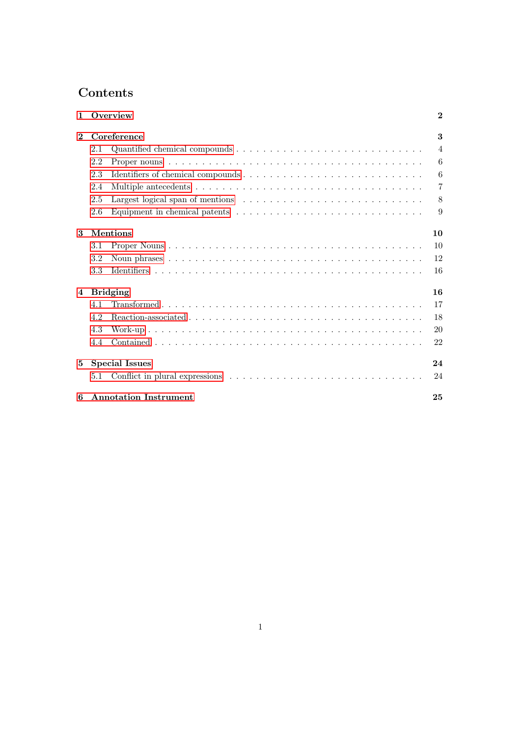# Contents

| $\mathbf{1}$   |                       | Overview                                                                                          | $\bf{2}$       |  |  |
|----------------|-----------------------|---------------------------------------------------------------------------------------------------|----------------|--|--|
| $\mathbf 2$    |                       | Coreference                                                                                       | 3              |  |  |
|                | 2.1                   |                                                                                                   | $\overline{4}$ |  |  |
|                | 2.2                   |                                                                                                   | 6              |  |  |
|                | 2.3                   |                                                                                                   | 6              |  |  |
|                | 2.4                   |                                                                                                   | $\overline{7}$ |  |  |
|                | 2.5                   |                                                                                                   | 8              |  |  |
|                | 2.6                   | Equipment in chemical patents $\dots \dots \dots \dots \dots \dots \dots \dots \dots \dots \dots$ | 9              |  |  |
| 3              | <b>Mentions</b><br>10 |                                                                                                   |                |  |  |
|                | 3.1                   |                                                                                                   | 10             |  |  |
|                | 3.2                   |                                                                                                   | 12             |  |  |
|                | 3.3                   |                                                                                                   | 16             |  |  |
| $\overline{4}$ |                       | <b>Bridging</b>                                                                                   | 16             |  |  |
|                | 4.1                   |                                                                                                   | 17             |  |  |
|                | 4.2                   |                                                                                                   | 18             |  |  |
|                | 4.3                   |                                                                                                   | 20             |  |  |
|                | 4.4                   |                                                                                                   | 22             |  |  |
| 5              |                       | <b>Special Issues</b>                                                                             | 24             |  |  |
|                | 5.1                   |                                                                                                   | 24             |  |  |
| 6              |                       | <b>Annotation Instrument</b>                                                                      | 25             |  |  |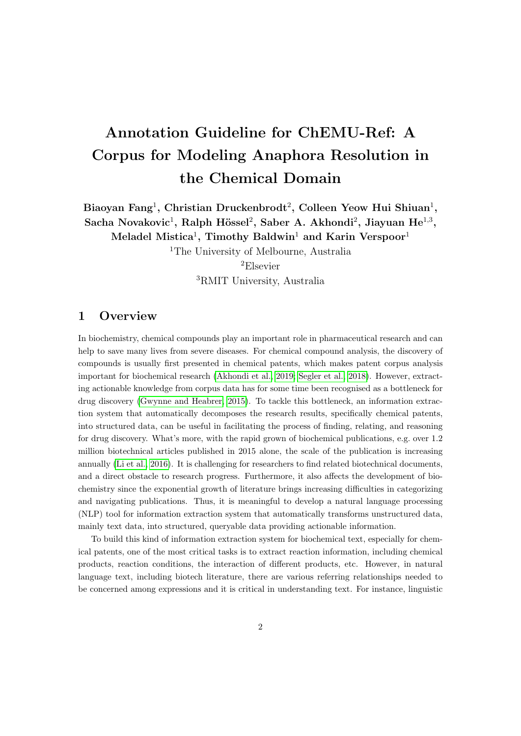# Annotation Guideline for ChEMU-Ref: A Corpus for Modeling Anaphora Resolution in the Chemical Domain

Biaoyan Fang<sup>1</sup>, Christian Druckenbrodt<sup>2</sup>, Colleen Yeow Hui Shiuan<sup>1</sup>, Sacha Novakovic<sup>1</sup>, Ralph Hössel<sup>2</sup>, Saber A. Akhondi<sup>2</sup>, Jiayuan He<sup>1,3</sup>, Meladel Mistica<sup>1</sup>, Timothy Baldwin<sup>1</sup> and Karin Verspoor<sup>1</sup>

> <sup>1</sup>The University of Melbourne, Australia <sup>2</sup>Elsevier

> > <sup>3</sup>RMIT University, Australia

# <span id="page-1-0"></span>1 Overview

In biochemistry, chemical compounds play an important role in pharmaceutical research and can help to save many lives from severe diseases. For chemical compound analysis, the discovery of compounds is usually first presented in chemical patents, which makes patent corpus analysis important for biochemical research [\(Akhondi et al., 2019;](#page-26-0) [Segler et al., 2018\)](#page-27-0). However, extracting actionable knowledge from corpus data has for some time been recognised as a bottleneck for drug discovery [\(Gwynne and Heabrer, 2015\)](#page-26-1). To tackle this bottleneck, an information extraction system that automatically decomposes the research results, specifically chemical patents, into structured data, can be useful in facilitating the process of finding, relating, and reasoning for drug discovery. What's more, with the rapid grown of biochemical publications, e.g. over 1.2 million biotechnical articles published in 2015 alone, the scale of the publication is increasing annually [\(Li et al., 2016\)](#page-26-2). It is challenging for researchers to find related biotechnical documents, and a direct obstacle to research progress. Furthermore, it also affects the development of biochemistry since the exponential growth of literature brings increasing difficulties in categorizing and navigating publications. Thus, it is meaningful to develop a natural language processing (NLP) tool for information extraction system that automatically transforms unstructured data, mainly text data, into structured, queryable data providing actionable information.

To build this kind of information extraction system for biochemical text, especially for chemical patents, one of the most critical tasks is to extract reaction information, including chemical products, reaction conditions, the interaction of different products, etc. However, in natural language text, including biotech literature, there are various referring relationships needed to be concerned among expressions and it is critical in understanding text. For instance, linguistic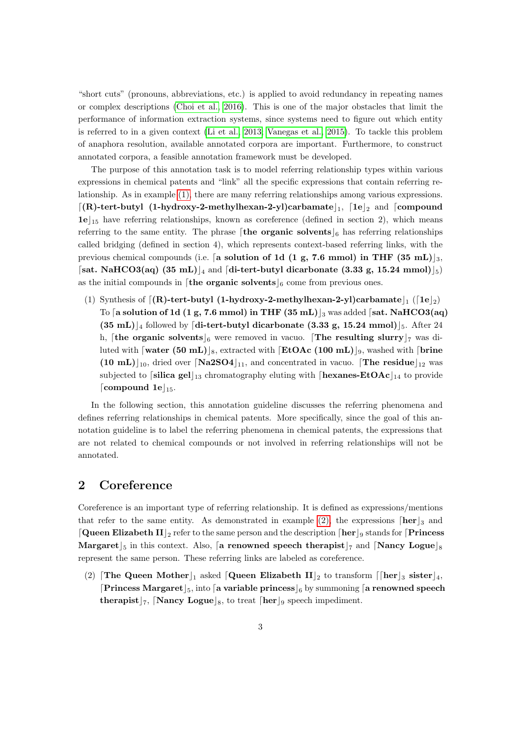"short cuts" (pronouns, abbreviations, etc.) is applied to avoid redundancy in repeating names or complex descriptions [\(Choi et al., 2016\)](#page-26-3). This is one of the major obstacles that limit the performance of information extraction systems, since systems need to figure out which entity is referred to in a given context [\(Li et al., 2013;](#page-26-4) [Vanegas et al., 2015\)](#page-27-1). To tackle this problem of anaphora resolution, available annotated corpora are important. Furthermore, to construct annotated corpora, a feasible annotation framework must be developed.

The purpose of this annotation task is to model referring relationship types within various expressions in chemical patents and "link" all the specific expressions that contain referring relationship. As in example [\(1\),](#page-2-1) there are many referring relationships among various expressions.  $\lceil(R)$ -tert-butyl (1-hydroxy-2-methylhexan-2-yl)carbamate  $\lceil_1$ ,  $\lceil 1e \rceil$  and  $\lceil$  compound  $1e|_{15}$  have referring relationships, known as coreference (defined in section 2), which means referring to the same entity. The phrase the organic solvents  $\vert_6$  has referring relationships called bridging (defined in section 4), which represents context-based referring links, with the previous chemical compounds (i.e. [a solution of 1d (1 g, 7.6 mmol) in THF (35 mL)  $\mid_3$ , [sat. NaHCO3(aq) (35 mL)]<sub>4</sub> and [di-tert-butyl dicarbonate (3.33 g, 15.24 mmol) $\vert_5$ ) as the initial compounds in [the organic solvents]<sub>6</sub> come from previous ones.

<span id="page-2-1"></span>(1) Synthesis of  $[(R)$ -tert-butyl (1-hydroxy-2-methylhexan-2-yl)carbamate $\vert_1$  ( $[1e\vert_2)$ To [a solution of 1d (1 g, 7.6 mmol) in THF  $(35 \text{ mL})_3$  was added [sat. NaHCO3(aq)  $(35 \text{ mL})_{4}$  followed by [di-tert-butyl dicarbonate (3.33 g, 15.24 mmol)]<sub>5</sub>. After 24 h, [the organic solvents]<sub>6</sub> were removed in vacuo. [The resulting slurry] $\tau$  was diluted with  $\lceil \text{water (50 mL)} \rceil_8$ , extracted with  $\lceil \text{EtOAc (100 mL)} \rceil_9$ , washed with  $\lceil \text{brine} \rceil$  $(10 \text{ mL})_{10}$ , dried over  $\lceil \text{Na2SO4} \rceil_{11}$ , and concentrated in vacuo.  $\lceil \text{The residue} \rceil_{12}$  was subjected to [silica gel]<sub>13</sub> chromatography eluting with [hexanes-EtOAc]<sub>14</sub> to provide [compound 1e $\vert_{15}$ .

In the following section, this annotation guideline discusses the referring phenomena and defines referring relationships in chemical patents. More specifically, since the goal of this annotation guideline is to label the referring phenomena in chemical patents, the expressions that are not related to chemical compounds or not involved in referring relationships will not be annotated.

# <span id="page-2-0"></span>2 Coreference

Coreference is an important type of referring relationship. It is defined as expressions/mentions that refer to the same entity. As demonstrated in example [\(2\),](#page-2-2) the expressions  $\lceil \mathbf{her} \rceil_3$  and **Queen Elizabeth II** <sub>2</sub> refer to the same person and the description  $\left[\right]$  for  $\left[\right]$  stands for  $\left[\right]$  Princess Margaret  $5$  in this context. Also, a renowned speech therapist  $7$  and  $\lfloor$ Nancy Logue $\rfloor_8$ represent the same person. These referring links are labeled as coreference.

<span id="page-2-2"></span>(2) The Queen Mother  $\vert_1$  asked [Queen Elizabeth II]<sub>2</sub> to transform [[her]<sub>3</sub> sister]<sub>4</sub>, **Princess Margaret**  $\vert_5$ , into a variable princess  $\vert_6$  by summoning a renowned speech therapist  $\vert_7$ , [Nancy Logue]<sub>8</sub>, to treat [her]<sub>9</sub> speech impediment.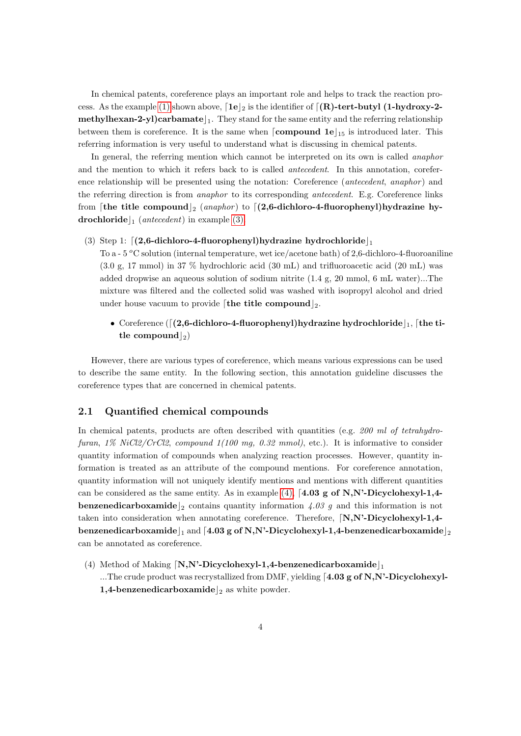In chemical patents, coreference plays an important role and helps to track the reaction pro-cess. As the example [\(1\)](#page-2-1) shown above,  $\lceil 1e \rceil_2$  is the identifier of  $\lceil (R)\text{-tert-butyl (1-hydroxy-2-} \rceil_2)$ **methylhexan-2-yl)carbamate**  $\vert_1$ . They stand for the same entity and the referring relationship between them is coreference. It is the same when  $[compound 1e]_{15}$  is introduced later. This referring information is very useful to understand what is discussing in chemical patents.

In general, the referring mention which cannot be interpreted on its own is called *anaphor* and the mention to which it refers back to is called antecedent. In this annotation, coreference relationship will be presented using the notation: Coreference (antecedent, anaphor) and the referring direction is from anaphor to its corresponding antecedent. E.g. Coreference links from [the title compound]<sub>2</sub> (anaphor) to  $(2,6$ -dichloro-4-fluorophenyl)hydrazine hydrochloride  $\vert_1$  (antecedent) in example [\(3\).](#page-3-1)

<span id="page-3-1"></span>(3) Step 1:  $\left[ (2,6\text{-dichloro-4-fluorophenyl})$ hydrazine hydrochloride $\right]_1$ 

To a - 5  $\rm{^{\circ}C}$  solution (internal temperature, wet ice/acetone bath) of 2,6-dichloro-4-fluoroaniline (3.0 g, 17 mmol) in 37 % hydrochloric acid (30 mL) and trifluoroacetic acid (20 mL) was added dropwise an aqueous solution of sodium nitrite (1.4 g, 20 mmol, 6 mL water)...The mixture was filtered and the collected solid was washed with isopropyl alcohol and dried under house vacuum to provide [the title compound]<sub>2</sub>.

• Coreference ( $\lceil(2,6\text{-dichloro-4-fluoropheny})\rceil$  hydrazine hydrochloride  $\lceil \cdot \rceil$ , [the title compound  $|_2$ )

However, there are various types of coreference, which means various expressions can be used to describe the same entity. In the following section, this annotation guideline discusses the coreference types that are concerned in chemical patents.

## <span id="page-3-0"></span>2.1 Quantified chemical compounds

In chemical patents, products are often described with quantities (e.g.  $200 \text{ ml}$  of tetrahydrofuran,  $1\%$  NiCl2/CrCl2, compound  $1(100 \text{ mg}, 0.32 \text{ mmol})$ , etc.). It is informative to consider quantity information of compounds when analyzing reaction processes. However, quantity information is treated as an attribute of the compound mentions. For coreference annotation, quantity information will not uniquely identify mentions and mentions with different quantities can be considered as the same entity. As in example [\(4\),](#page-3-2) [4.03 g of N,N'-Dicyclohexyl-1,4**benzenedicarboxamide** 2 contains quantity information 4.03 g and this information is not taken into consideration when annotating coreference. Therefore,  $[N, N'-Dicyclohexyl-1,4-1]$ benzenedicarboxamide  $\vert_1$  and [4.03 g of N,N'-Dicyclohexyl-1,4-benzenedicarboxamide  $\vert_2$ can be annotated as coreference.

<span id="page-3-2"></span>(4) Method of Making  $\lfloor N, N^2-Dicyclohexyl-1,4-benzenedicarboxamide \rfloor_1$ ...The crude product was recrystallized from DMF, yielding  $[4.03 \text{ g of N,N'-Dicyclohexyl-}$ 1,4-benzenedicarboxamide  $\vert_2$  as white powder.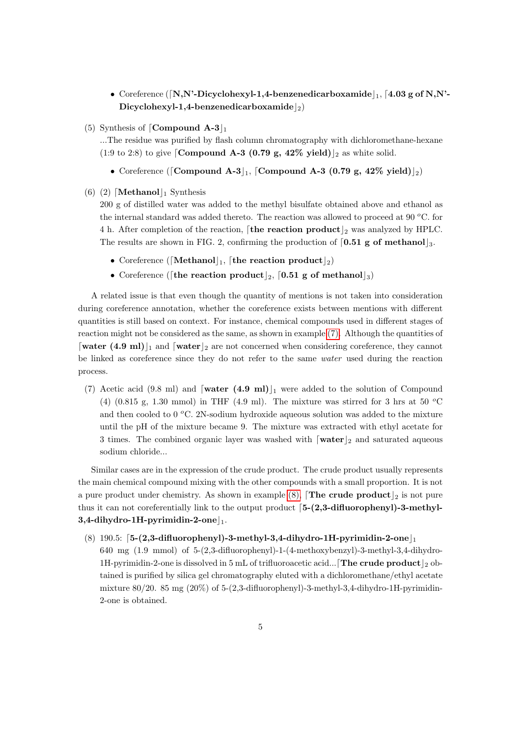- Coreference ([N,N'-Dicyclohexyl-1,4-benzenedicarboxamide  $\vert_1$ , [4.03 g of N,N'-Dicyclohexyl-1,4-benzenedicarboxamide $|_2$ )
- (5) Synthesis of  $\lceil \text{Compound A-3} \rceil_1$

...The residue was purified by flash column chromatography with dichloromethane-hexane (1:9 to 2:8) to give [Compound A-3 (0.79 g, 42% yield) |2 as white solid.

- Coreference ([Compound A-3 $\vert_1$ , [Compound A-3 (0.79 g, 42% yield) $\vert_2$ )
- (6) (2) [Methanol]<sub>1</sub> Synthesis

200 g of distilled water was added to the methyl bisulfate obtained above and ethanol as the internal standard was added thereto. The reaction was allowed to proceed at 90  $^{\circ}$ C. for 4 h. After completion of the reaction,  $[$ the reaction product $]_2$  was analyzed by HPLC. The results are shown in FIG. 2, confirming the production of  $[0.51 \text{ g of methanol}]_3$ .

- Coreference ([Methanol]<sub>1</sub>, [the reaction product]<sub>2</sub>)
- Coreference ([the reaction product]<sub>2</sub>, [0.51 g of methanol]<sub>3</sub>)

A related issue is that even though the quantity of mentions is not taken into consideration during coreference annotation, whether the coreference exists between mentions with different quantities is still based on context. For instance, chemical compounds used in different stages of reaction might not be considered as the same, as shown in example [\(7\).](#page-4-0) Although the quantities of [water (4.9 ml)]<sub>1</sub> and [water]<sub>2</sub> are not concerned when considering coreference, they cannot be linked as coreference since they do not refer to the same water used during the reaction process.

<span id="page-4-0"></span>(7) Acetic acid (9.8 ml) and  $\lceil \text{water (4.9 ml)} \rceil$  were added to the solution of Compound (4) (0.815 g, 1.30 mmol) in THF (4.9 ml). The mixture was stirred for 3 hrs at 50  $^{\circ}$ C and then cooled to  $0^{\circ}$ C. 2N-sodium hydroxide aqueous solution was added to the mixture until the pH of the mixture became 9. The mixture was extracted with ethyl acetate for 3 times. The combined organic layer was washed with  $\lceil \mathbf{water} \rceil_2$  and saturated aqueous sodium chloride...

Similar cases are in the expression of the crude product. The crude product usually represents the main chemical compound mixing with the other compounds with a small proportion. It is not a pure product under chemistry. As shown in example [\(8\),](#page-4-1) **The crude product**  $\vert_2$  is not pure thus it can not coreferentially link to the output product  $[5-(2,3-difluorophenyl)-3-methyl 3,4$ -dihydro-1H-pyrimidin-2-one $\vert_1$ .

<span id="page-4-1"></span>(8) 190.5:  $[5-(2,3-difluoropheny]$ -3-methyl-3,4-dihydro-1H-pyrimidin-2-one $\vert_1$ 640 mg (1.9 mmol) of 5-(2,3-difluorophenyl)-1-(4-methoxybenzyl)-3-methyl-3,4-dihydro-1H-pyrimidin-2-one is dissolved in 5 mL of trifluoroacetic acid... **The crude product**  $\vert_2$  obtained is purified by silica gel chromatography eluted with a dichloromethane/ethyl acetate mixture  $80/20$ .  $85 \text{ mg } (20\%)$  of  $5-(2,3$ -difluorophenyl)-3-methyl-3,4-dihydro-1H-pyrimidin-2-one is obtained.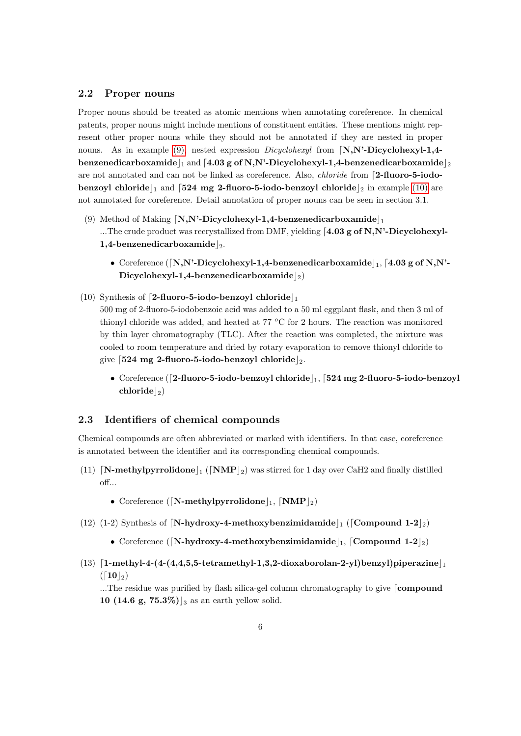#### <span id="page-5-0"></span>2.2 Proper nouns

Proper nouns should be treated as atomic mentions when annotating coreference. In chemical patents, proper nouns might include mentions of constituent entities. These mentions might represent other proper nouns while they should not be annotated if they are nested in proper nouns. As in example [\(9\),](#page-5-2) nested expression  $Dicyclohexyl$  from  $[N,N^2-Dicyclohexyl-1,4-1]$ benzenedicarboxamide  $\vert_1$  and [4.03 g of N,N'-Dicyclohexyl-1,4-benzenedicarboxamide  $\vert_2$ are not annotated and can not be linked as coreference. Also, *chloride* from [2-fluoro-5-iodobenzoyl chloride  $\vert_1$  and [524 mg 2-fluoro-5-iodo-benzoyl chloride  $\vert_2$  in example [\(10\)](#page-5-3) are not annotated for coreference. Detail annotation of proper nouns can be seen in section 3.1.

- <span id="page-5-2"></span>(9) Method of Making  $[N,N^{\prime}$ -Dicyclohexyl-1,4-benzenedicarboxamide $\vert_{1}$ ...The crude product was recrystallized from DMF, yielding  $4.03$  g of N,N'-Dicyclohexyl-1,4-benzenedicarboxamide $\vert_2$ .
	- Coreference ( $[N,N^2Dicyclohexyl-1,4-benzenedicarboxamide|_1, [4.03 g of N,N^2Dicyclohexyl-1,4-benzenedicarboxamide|_1, [4.03 g of N,N^2Dicyclohexyl-1,4-benzenedicarboxamide|_1, [4.03 g of N,N^2Dicyclohexyl-1,4-benzenedicarboxamide|_1, [4.03 g of N,N^2Dicyclohexyl-1,4-benzenedicarboxamide|_1, [4.03 g of N,N^2Dicyclohexyl-1,4-benzenedicarboxamide|_1, [4.03 g of N,N^2Dicyclohexyl-1,$ Dicyclohexyl-1,4-benzenedicarboxamide $|_2$ )
- <span id="page-5-3"></span>(10) Synthesis of [2-fluoro-5-iodo-benzoyl chloride] 500 mg of 2-fluoro-5-iodobenzoic acid was added to a 50 ml eggplant flask, and then 3 ml of thionyl chloride was added, and heated at 77  $\rm{^{\circ}C}$  for 2 hours. The reaction was monitored by thin layer chromatography (TLC). After the reaction was completed, the mixture was cooled to room temperature and dried by rotary evaporation to remove thionyl chloride to give  $\lceil 524 \rceil$  mg 2-fluoro-5-iodo-benzoyl chloride  $\lceil 2 \rceil$ .
	- Coreference ([2-fluoro-5-iodo-benzoyl chloride] $_1$ , [524 mg 2-fluoro-5-iodo-benzoyl  $\mathrm{chloride}\left\vert_2\right)$

## <span id="page-5-1"></span>2.3 Identifiers of chemical compounds

Chemical compounds are often abbreviated or marked with identifiers. In that case, coreference is annotated between the identifier and its corresponding chemical compounds.

- (11) [N-methylpyrrolidone] ([NMP]<sub>2</sub>) was stirred for 1 day over CaH2 and finally distilled off...
	- Coreference ([N-methylpyrrolidone]<sub>1</sub>,  $\text{[NMP]}_2$ )
- (12) (1-2) Synthesis of  $[N-hydroxy-4-methoxybenzimidamide|_1$  (Compound 1-2|2)
	- Coreference ([N-hydroxy-4-methoxybenzimidamide], [Compound 1-2]<sub>2</sub>)
- $(13)$  [1-methyl-4-(4-(4,4,5,5-tetramethyl-1,3,2-dioxaborolan-2-yl)benzyl)piperazine  $(\lceil 10 \rceil_2)$

...The residue was purified by flash silica-gel column chromatography to give [compound 10 (14.6 g,  $75.3\%$ ) |<sub>3</sub> as an earth yellow solid.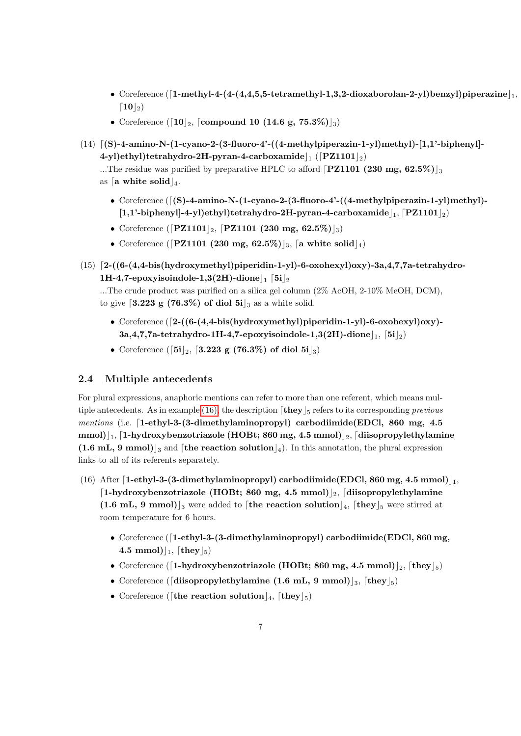- Coreference  $([1-methyl-4-(4,4,5,5-tetramethyl-1,3,2-dioxaborolan-2-yl)benzyl)$ piperazine $|_1$ ,  $\lceil 10 \rceil_2$
- Coreference ( $[10]_2$ , [compound 10 (14.6 g, 75.3%)]<sub>3</sub>)
- $(14)$   $[(S)-4-amino-N-(1-cyano-2-(3-fluoro-4'-(4-methylpiperazin-1-yl)methyl)-(1,1'-biphenyl]-$ 4-yl)ethyl)tetrahydro-2H-pyran-4-carboxamide $\vert_1$  ([PZ1101 $\vert_2$ )

...The residue was purified by preparative HPLC to afford [PZ1101 (230 mg,  $62.5\%$ )]<sub>3</sub> as [a white solid]<sub>4</sub>.

- Coreference  $([S)-4$ -amino-N- $(1$ -cyano-2- $(3)$ -fluoro-4'- $((4-methylpiperazin-1-yl)$ methyl  $[1,1'-biphenyl]-4-yl]$ ethyl)tetrahydro-2H-pyran-4-carboxamide $\vert_1$ ,  $[PZ1101\vert_2)$
- Coreference ( $[$ PZ1101 $]_2$ ,  $[$ PZ1101 (230 mg, 62.5%) $]_3$ )
- Coreference ([PZ1101 (230 mg, 62.5%)]<sub>3</sub>, [a white solid]<sub>4</sub>)
- $(15)$  [2-((6-(4,4-bis(hydroxymethyl)piperidin-1-yl)-6-oxohexyl)oxy)-3a,4,7,7a-tetrahydro-1H-4,7-epoxyisoindole-1,3(2H)-dione $\frac{1}{1}$  [5i $\frac{1}{2}$

...The crude product was purified on a silica gel column (2% AcOH, 2-10% MeOH, DCM), to give  $\left[3.223 \right. g \left(76.3\% \right)$  of diol  $5i\vert_3$  as a white solid.

- Coreference  $(2-(6-(4,4-bis(hydroxymethyl)piperidin-1-yl)-6-oxohexyl)oxy)$  $3a,4,7,7a\text{-tetrahydro-1H-4,7-epoxyisoindole-1,3(2H)-dione}|_1, 5i|_2)$
- Coreference ([5i]<sub>2</sub>, [3.223 g (76.3%) of diol 5i]<sub>3</sub>)

# <span id="page-6-0"></span>2.4 Multiple antecedents

For plural expressions, anaphoric mentions can refer to more than one referent, which means mul-tiple antecedents. As in example [\(16\),](#page-6-1) the description  $\lceil \text{they} \rceil_5$  refers to its corresponding previous mentions (i.e.  $[1-ethyl-3-(3-dimethylaminopropy])$  carbodiimide(EDCl, 860 mg, 4.5) mmol) $|_1$ , [1-hydroxybenzotriazole (HOBt; 860 mg, 4.5 mmol) $|_2$ , [diisopropylethylamine  $(1.6 \text{ mL}, 9 \text{ mmol})_{3}$  and [the reaction solution]<sub>4</sub>). In this annotation, the plural expression links to all of its referents separately.

- <span id="page-6-1"></span>(16) After [1-ethyl-3-(3-dimethylaminopropyl) carbodiimide(EDCl, 860 mg, 4.5 mmol) $\vert_1$ , [1-hydroxybenzotriazole (HOBt; 860 mg, 4.5 mmol)|2, [diisopropylethylamine] (1.6 mL, 9 mmol)<sub>3</sub> were added to [the reaction solution<sub>14</sub>, [they]<sub>5</sub> were stirred at room temperature for 6 hours.
	- Coreference ([1-ethyl-3-(3-dimethylaminopropyl) carbodiimide(EDCl, 860 mg, 4.5 mmol) $|_1$ , [they $|_5$ )
	- Coreference ([1-hydroxybenzotriazole (HOBt; 860 mg, 4.5 mmol) $|_2$ , [they $|_5$ )
	- Coreference ([diisopropylethylamine (1.6 mL, 9 mmol)]<sub>3</sub>, [they]<sub>5</sub>)
	- Coreference ([the reaction solution]<sub>4</sub>, [they]<sub>5</sub>)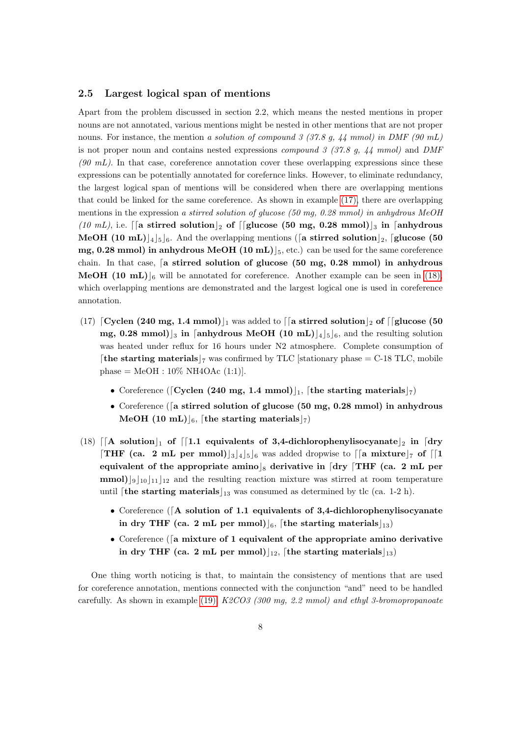#### <span id="page-7-0"></span>2.5 Largest logical span of mentions

Apart from the problem discussed in section 2.2, which means the nested mentions in proper nouns are not annotated, various mentions might be nested in other mentions that are not proper nouns. For instance, the mention a solution of compound 3 (37.8 g, 44 mmol) in DMF (90 mL) is not proper noun and contains nested expressions *compound 3 (37.8 g, 44 mmol)* and *DMF*  $(90 \text{ mL})$ . In that case, coreference annotation cover these overlapping expressions since these expressions can be potentially annotated for corefernce links. However, to eliminate redundancy, the largest logical span of mentions will be considered when there are overlapping mentions that could be linked for the same coreference. As shown in example [\(17\),](#page-7-1) there are overlapping mentions in the expression a stirred solution of glucose (50 mg, 0.28 mmol) in anhydrous MeOH (10 mL), i.e. [[a stirred solution]<sub>2</sub> of [[glucose (50 mg, 0.28 mmol)]<sub>3</sub> in [anhydrous **MeOH** (10 mL)<sup>[4]</sup><sub>5</sub> [6]. And the overlapping mentions ([a stirred solution<sup>[2]</sup>, [glucose (50] mg, 0.28 mmol) in anhydrous MeOH  $(10 \text{ mL})$ <sub>5</sub>, etc.) can be used for the same coreference chain. In that case,  $\left[$  a stirred solution of glucose  $(50 \text{ mg}, 0.28 \text{ mmol})$  in anhydrous **MeOH** (10 mL)<sup> $\vert$ </sup><sub>6</sub> will be annotated for coreference. Another example can be seen in [\(18\),](#page-7-2) which overlapping mentions are demonstrated and the largest logical one is used in coreference annotation.

- <span id="page-7-1"></span>(17)  $\lceil \text{Cyclen (240 mg, 1.4 mmol}) \rceil$  was added to  $\lceil \lceil \text{a stirred solution} \rceil$  of  $\lceil \lceil \text{glucose (50 mJs)} \rceil$ mg, 0.28 mmol)<sup>3</sup> in [anhydrous MeOH (10 mL)<sup>[4]</sup><sub>5</sub>]<sub>6</sub>, and the resulting solution was heated under reflux for 16 hours under N2 atmosphere. Complete consumption of [the starting materials  $\vert_7$  was confirmed by TLC [stationary phase = C-18 TLC, mobile  $phase = MeOH : 10\% NH4OAc (1:1)$ .
	- Coreference ([Cyclen (240 mg, 1.4 mmol)], [the starting materials]
	- Coreference ( $\lceil a \text{ stirred solution of glucose } (50 \text{ mg}, 0.28 \text{ mmol})$ ) in anhydrous MeOH (10 mL) $\vert_6$ , [the starting materials $\vert_7$ )
- <span id="page-7-2"></span>(18)  $\lceil$  (A solution | 1 of  $\lceil$  1.1 equivalents of 3,4-dichlorophenylisocyanate | 2 in dry **THF** (ca. 2 mL per mmol) $|3|4|5|6$  was added dropwise to [[a mixture]<sub>7</sub> of [1] equivalent of the appropriate amino s derivative in [dry  $\lfloor$ THF (ca. 2 mL per  $mmol$ ]<sub>9</sub>[<sub>10</sub>]<sub>11</sub>]<sub>12</sub> and the resulting reaction mixture was stirred at room temperature until [the starting materials] $_{13}$  was consumed as determined by tlc (ca. 1-2 h).
	- Coreference ( $[A$  solution of 1.1 equivalents of 3,4-dichlorophenylisocyanate in dry THF (ca. 2 mL per mmol)<sup>[6]</sup>, [the starting materials]<sup>[13]</sup>
	- Coreference ( $\lceil a \text{ mixture of 1 equivalent of the appropriate amino derivative}$ in dry THF (ca. 2 mL per mmol)  $|_{12}$ , [the starting materials  $|_{13}$ ]

One thing worth noticing is that, to maintain the consistency of mentions that are used for coreference annotation, mentions connected with the conjunction "and" need to be handled carefully. As shown in example [\(19\),](#page-8-1) K2CO3 (300 mg, 2.2 mmol) and ethyl 3-bromopropanoate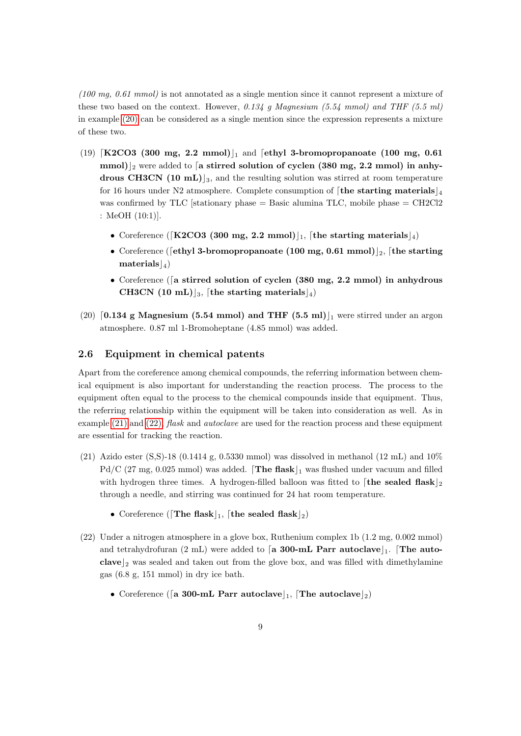$(100 \text{ mg}, 0.61 \text{ mmol})$  is not annotated as a single mention since it cannot represent a mixture of these two based on the context. However,  $0.134$  g Magnesium (5.54 mmol) and THF (5.5 ml) in example [\(20\)](#page-8-2) can be considered as a single mention since the expression represents a mixture of these two.

- <span id="page-8-1"></span>(19)  $\left[\text{K2CO3 } (300 \text{ mg}, 2.2 \text{ mmol})\right]$  and  $\left[\text{ethyl 3-bromopropanoate } (100 \text{ mg}, 0.61)\right]$ mmol)<sup>2</sup> were added to [a stirred solution of cyclen (380 mg, 2.2 mmol) in anhydrous CH3CN (10 mL)<sub>3</sub>, and the resulting solution was stirred at room temperature for 16 hours under N2 atmosphere. Complete consumption of [the starting materials  $\frac{1}{4}$ ] was confirmed by TLC [stationary phase  $=$  Basic alumina TLC, mobile phase  $=$  CH2Cl2 : MeOH (10:1)].
	- Coreference ([K2CO3 (300 mg, 2.2 mmol)], [the starting materials]
	- Coreference ([ethyl 3-bromopropanoate (100 mg, 0.61 mmol)]<sub>2</sub>, [the starting  $\text{materials}|_4$
	- Coreference ( $\lceil a \text{ stirred solution of cyclen} \rceil$  (380 mg, 2.2 mmol) in anhydrous CH3CN (10 mL)]<sub>3</sub>, [the starting materials]<sub>4</sub>)
- <span id="page-8-2"></span>(20) [0.134 g Magnesium (5.54 mmol) and THF (5.5 ml)  $\vert$  were stirred under an argon atmosphere. 0.87 ml 1-Bromoheptane (4.85 mmol) was added.

#### <span id="page-8-0"></span>2.6 Equipment in chemical patents

Apart from the coreference among chemical compounds, the referring information between chemical equipment is also important for understanding the reaction process. The process to the equipment often equal to the process to the chemical compounds inside that equipment. Thus, the referring relationship within the equipment will be taken into consideration as well. As in example  $(21)$  and  $(22)$ , *flask* and *autoclave* are used for the reaction process and these equipment are essential for tracking the reaction.

- <span id="page-8-3"></span>(21) Azido ester (S,S)-18 (0.1414 g, 0.5330 mmol) was dissolved in methanol (12 mL) and  $10\%$  $Pd/C$  (27 mg, 0.025 mmol) was added. **The flask**  $\vert_1$  was flushed under vacuum and filled with hydrogen three times. A hydrogen-filled balloon was fitted to [the sealed flask]<sub>2</sub> through a needle, and stirring was continued for 24 hat room temperature.
	- Coreference ([The flask], [the sealed flask]<sub>2</sub>)
- <span id="page-8-4"></span>(22) Under a nitrogen atmosphere in a glove box, Ruthenium complex 1b (1.2 mg, 0.002 mmol) and tetrahydrofuran (2 mL) were added to [a 300-mL Parr autoclave]. The autoclave  $\vert_2$  was sealed and taken out from the glove box, and was filled with dimethylamine gas (6.8 g, 151 mmol) in dry ice bath.
	- Coreference ([a 300-mL Parr autoclave], [The autoclave]<sub>2</sub>)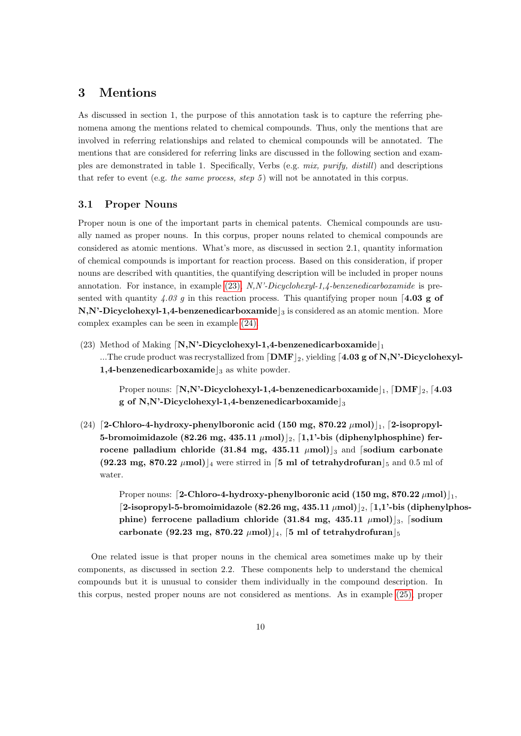# <span id="page-9-0"></span>3 Mentions

As discussed in section 1, the purpose of this annotation task is to capture the referring phenomena among the mentions related to chemical compounds. Thus, only the mentions that are involved in referring relationships and related to chemical compounds will be annotated. The mentions that are considered for referring links are discussed in the following section and examples are demonstrated in table 1. Specifically, Verbs (e.g. mix, purify, distill) and descriptions that refer to event (e.g. the same process, step 5) will not be annotated in this corpus.

## <span id="page-9-1"></span>3.1 Proper Nouns

Proper noun is one of the important parts in chemical patents. Chemical compounds are usually named as proper nouns. In this corpus, proper nouns related to chemical compounds are considered as atomic mentions. What's more, as discussed in section 2.1, quantity information of chemical compounds is important for reaction process. Based on this consideration, if proper nouns are described with quantities, the quantifying description will be included in proper nouns annotation. For instance, in example [\(23\),](#page-9-2)  $N$ ,N'-Dicyclohexyl-1,4-benzenedicarboxamide is presented with quantity 4.03 g in this reaction process. This quantifying proper noun [4.03 g of  $\mathbf{N},\mathbf{N'}$ -Dicyclohexyl-1,4-benzenedicarboxamide  $\vert_3$  is considered as an atomic mention. More complex examples can be seen in example [\(24\).](#page-9-3)

<span id="page-9-2"></span>(23) Method of Making  $[N,N^{\prime}$-Dicyclohexyl-1,4-benzenedicarboxamide]_1$ ...The crude product was recrystallized from  $\text{[DMF]}_2$ , yielding  $\text{[4.03 g of N,N'-Dicyclohexyl-}$ 1,4-benzenedicarboxamide  $\vert_3$  as white powder.

Proper nouns:  $\left\lceil N, N'-Dicyclohexyl-1,4-benzenedicarboxamide \right\rceil_1, \left\lceil DMF\right\rceil_2, \left\lceil 4.03\right\rceil_2$ g of N,N'-Dicyclohexyl-1,4-benzenedicarboxamide

<span id="page-9-3"></span>(24) [2-Chloro-4-hydroxy-phenylboronic acid (150 mg, 870.22  $\mu$ mol)[1, [2-isopropyl-5-bromoimidazole (82.26 mg, 435.11  $\mu$ mol) $]_2$ , [1,1'-bis (diphenylphosphine) ferrocene palladium chloride (31.84 mg, 435.11  $\mu$ mol)<sup>3</sup> and [sodium carbonate  $(92.23 \text{ mg}, 870.22 \text{ }\mu\text{mol})$ <sub>4</sub> were stirred in [5 ml of tetrahydrofuran]<sub>5</sub> and 0.5 ml of water.

> Proper nouns: [2-Chloro-4-hydroxy-phenylboronic acid (150 mg, 870.22  $\mu$ mol) $\vert_1$ , [2-isopropyl-5-bromoimidazole (82.26 mg, 435.11  $\mu$ mol) $|_2$ , [1,1'-bis (diphenylphosphine) ferrocene palladium chloride (31.84 mg, 435.11  $\mu$ mol) $\left| \right|$ <sub>3</sub>, [sodium carbonate (92.23 mg, 870.22  $\mu$ mol)<sup>[4]</sup>, [5 ml of tetrahydrofuran<sup>[5]</sup>

One related issue is that proper nouns in the chemical area sometimes make up by their components, as discussed in section 2.2. These components help to understand the chemical compounds but it is unusual to consider them individually in the compound description. In this corpus, nested proper nouns are not considered as mentions. As in example [\(25\),](#page-11-1) proper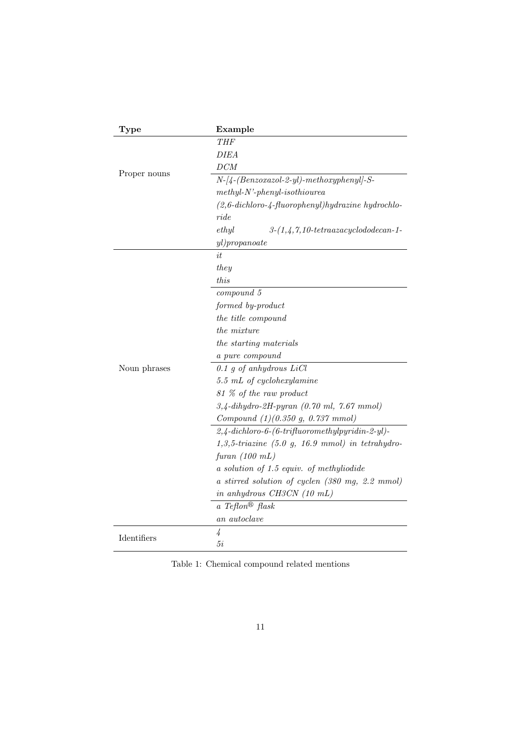| <b>Type</b>  | Example                                                                    |
|--------------|----------------------------------------------------------------------------|
|              | THF                                                                        |
| Proper nouns | <b>DIEA</b>                                                                |
|              | DCM                                                                        |
|              | $N-[4-(Benzoxazo1-2-yl)-methoxyphenyl]-S-$                                 |
|              | $methyl-N'-phenyl-isothiourea$                                             |
|              | $(2, 6\text{-}dichloro\text{-}4\text{-}fluorophenyl)$ hydrazine hydrochlo- |
|              | ride                                                                       |
|              | ethyl<br>$3-(1,4,7,10-tetraazacyclodo de can-1-$                           |
|              | $y$ l) $propanoate$                                                        |
|              | it.                                                                        |
|              | they                                                                       |
|              | this                                                                       |
|              | compound 5                                                                 |
|              | formed by-product                                                          |
|              | the title compound                                                         |
|              | <i>the mixture</i>                                                         |
|              | the starting materials                                                     |
|              | a pure compound                                                            |
| Noun phrases | $0.1$ g of anhydrous LiCl                                                  |
|              | $5.5$ mL of cyclohexylamine                                                |
|              | 81 % of the raw product                                                    |
|              | $3,4$ -dihydro-2H-pyran (0.70 ml, 7.67 mmol)                               |
|              | Compound $(1)(0.350 g, 0.737 mmol)$                                        |
|              | $2,4$ -dichloro-6-(6-trifluoromethylpyridin-2-yl)-                         |
|              | $1,3,5\text{-}triazine$ (5.0 g, 16.9 mmol) in tetrahydro-                  |
|              | furan $(100 \; mL)$                                                        |
|              | $a$ solution of 1.5 equiv. of methyliodide                                 |
|              | a stirred solution of cyclen (380 mg, 2.2 mmol)                            |
|              | in anhydrous CH3CN (10 mL)                                                 |
|              | a Teflon <sup>®</sup> flask                                                |
|              | an autoclave                                                               |
| Identifiers  | 4                                                                          |
|              | 5i                                                                         |

Table 1: Chemical compound related mentions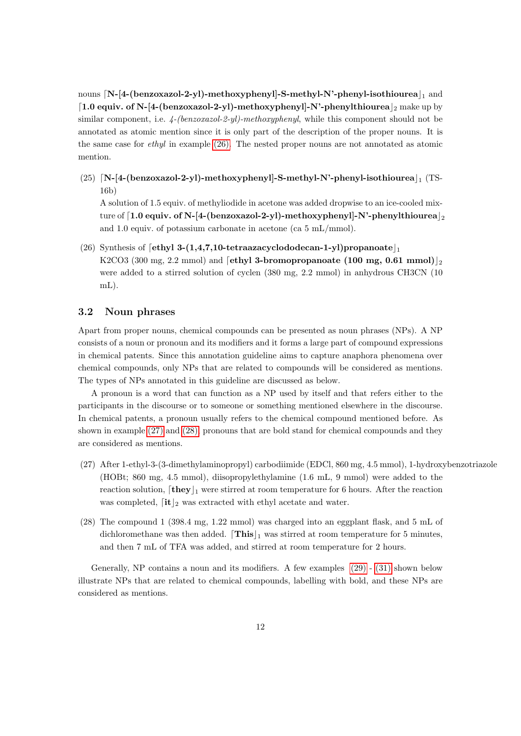nouns  $[N-[4-(benzoxazo]-2-y])$ -methoxyphenyl]-S-methyl-N'-phenyl-isothiourea $\vert_1$  and [1.0 equiv. of N-[4-(benzoxazol-2-yl)-methoxyphenyl]-N'-phenylthiourea  $\vert_2$  make up by similar component, i.e.  $\frac{4-(benzoxazol-2-yl)-methoxyphenyl}$ , while this component should not be annotated as atomic mention since it is only part of the description of the proper nouns. It is the same case for ethyl in example [\(26\).](#page-11-2) The nested proper nouns are not annotated as atomic mention.

<span id="page-11-1"></span>(25)  $[N-[4-(benzoxazol-2-y])-methoxyphenyl]-S-methyl-N'-phenyl-isothiourea]$  (TS-16b)

A solution of 1.5 equiv. of methyliodide in acetone was added dropwise to an ice-cooled mixture of  $1.0$  equiv. of N-[4-(benzoxazol-2-yl)-methoxyphenyl]-N'-phenylthiourea $|_2$ and 1.0 equiv. of potassium carbonate in acetone (ca 5 mL/mmol).

<span id="page-11-2"></span>(26) Synthesis of  $\left[\text{ethyl }3-(1,4,7,10\text{-tetraazaacycloddo decan-1-yl}\right]$ propanoate $\left[\right]$ K2CO3 (300 mg, 2.2 mmol) and [ethyl 3-bromopropanoate (100 mg, 0.61 mmol)]<sup>2</sup> were added to a stirred solution of cyclen  $(380 \text{ mg}, 2.2 \text{ mmol})$  in anhydrous CH3CN  $(10$ mL).

## <span id="page-11-0"></span>3.2 Noun phrases

Apart from proper nouns, chemical compounds can be presented as noun phrases (NPs). A NP consists of a noun or pronoun and its modifiers and it forms a large part of compound expressions in chemical patents. Since this annotation guideline aims to capture anaphora phenomena over chemical compounds, only NPs that are related to compounds will be considered as mentions. The types of NPs annotated in this guideline are discussed as below.

A pronoun is a word that can function as a NP used by itself and that refers either to the participants in the discourse or to someone or something mentioned elsewhere in the discourse. In chemical patents, a pronoun usually refers to the chemical compound mentioned before. As shown in example [\(27\)](#page-11-3) and [\(28\),](#page-11-4) pronouns that are bold stand for chemical compounds and they are considered as mentions.

- <span id="page-11-3"></span>(27) After 1-ethyl-3-(3-dimethylaminopropyl) carbodiimide (EDCl, 860 mg, 4.5 mmol), 1-hydroxybenzotriazole (HOBt; 860 mg, 4.5 mmol), diisopropylethylamine (1.6 mL, 9 mmol) were added to the reaction solution,  $[\mathbf{they}]_1$  were stirred at room temperature for 6 hours. After the reaction was completed,  $\left\lceil \frac{\mathbf{it}}{2} \right\rceil$  was extracted with ethyl acetate and water.
- <span id="page-11-4"></span>(28) The compound 1 (398.4 mg, 1.22 mmol) was charged into an eggplant flask, and 5 mL of dichloromethane was then added.  $\lfloor$  This $\rfloor_1$  was stirred at room temperature for 5 minutes, and then 7 mL of TFA was added, and stirred at room temperature for 2 hours.

Generally, NP contains a noun and its modifiers. A few examples  $(29)$  -  $(31)$  shown below illustrate NPs that are related to chemical compounds, labelling with bold, and these NPs are considered as mentions.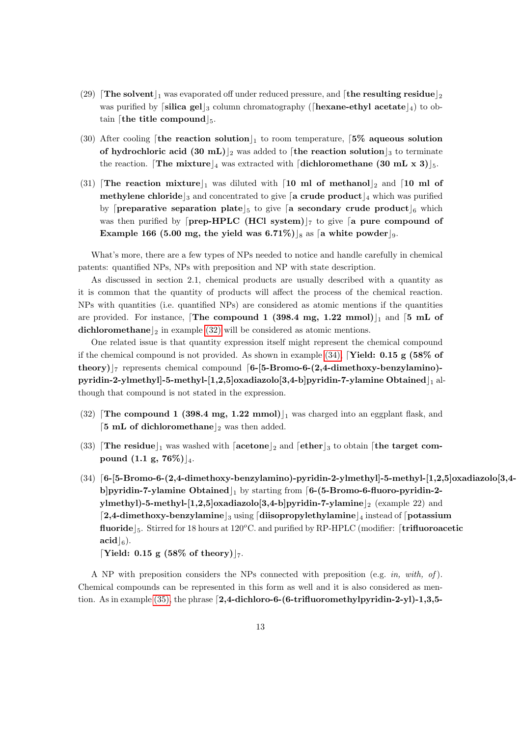- <span id="page-12-0"></span>(29) The solvent  $\vert_1$  was evaporated off under reduced pressure, and  $\vert$  the resulting residue  $\vert_2$ was purified by silica gels<sub>3</sub> column chromatography ( $\left[$ hexane-ethyl acetate $\left|_4\right\rangle$ ) to obtain [the title compound  $\vert_5$ .
- (30) After cooling [the reaction solution], to room temperature,  $5\%$  aqueous solution of hydrochloric acid (30 mL)<sub>2</sub> was added to [the reaction solution<sub>13</sub> to terminate the reaction. The mixture  $\frac{4}{4}$  was extracted with [dichloromethane (30 mL x 3) $\frac{1}{5}$ .
- <span id="page-12-1"></span>(31) The reaction mixture  $\vert_1$  was diluted with  $\vert$  10 ml of methanol $\vert_2$  and  $\vert$  10 ml of **methylene chloride**  $\frac{1}{3}$  and concentrated to give  $\left[ \frac{1}{4} \text{ circle product} \right]_4$  which was purified by **[preparative separation plate**]<sub>5</sub> to give **[a secondary crude product**]<sub>6</sub> which was then purified by  $\lceil$ **prep-HPLC** (**HCl** system) $\lceil$ <sup>7</sup> to give  $\lceil$ **a** pure compound of Example 166 (5.00 mg, the yield was 6.71%) s as [a white powder].

What's more, there are a few types of NPs needed to notice and handle carefully in chemical patents: quantified NPs, NPs with preposition and NP with state description.

As discussed in section 2.1, chemical products are usually described with a quantity as it is common that the quantity of products will affect the process of the chemical reaction. NPs with quantities (i.e. quantified NPs) are considered as atomic mentions if the quantities are provided. For instance, The compound 1 (398.4 mg, 1.22 mmol) $\vert_1$  and  $\vert$ 5 mL of dichloromethane  $\vert_2$  in example [\(32\)](#page-12-2) will be considered as atomic mentions.

One related issue is that quantity expression itself might represent the chemical compound if the chemical compound is not provided. As shown in example  $(34)$ , **Yield: 0.15 g (58% of** theory) $\vert$ <sub>7</sub> represents chemical compound [6-[5-Bromo-6-(2,4-dimethoxy-benzylamino)pyridin-2-ylmethyll-5-methyl-[1,2,5]oxadiazolo[3,4-b]pyridin-7-ylamine Obtained  $\vert_1$  although that compound is not stated in the expression.

- <span id="page-12-2"></span> $(32)$  The compound 1 (398.4 mg, 1.22 mmol)<sub>1</sub> was charged into an eggplant flask, and [5 mL of dichloromethane]<sub>2</sub> was then added.
- (33) The residue  $\vert_1$  was washed with  $\vert$  acetone  $\vert_2$  and  $\vert$  ether  $\vert_3$  to obtain  $\vert$  the target compound  $(1.1 \text{ g}, 76\%)|_{4}$ .
- <span id="page-12-3"></span> $(34)$  [6-[5-Bromo-6-(2,4-dimethoxy-benzylamino)-pyridin-2-ylmethyl]-5-methyl-[1,2,5]oxadiazolo[3,4b]pyridin-7-ylamine Obtained  $\vert_1$  by starting from [6-(5-Bromo-6-fluoro-pyridin-2ylmethyl)-5-methyl-[1,2,5]oxadiazolo[3,4-b]pyridin-7-ylamine  $\vert_2$  (example 22) and  $\lceil 2.4$ -dimethoxy-benzylamine  $\lceil 3 \text{ using } \rceil$  diisopropylethylamine  $\lceil 4 \text{ instead of } \rceil$  potassium fluoride  $\vert_5$ . Stirred for 18 hours at 120°C. and purified by RP-HPLC (modifier: [trifluoroacetic  $\bf{acid}|_6$ ).

[Yield: 0.15 g (58% of theory)| $_7$ .

A NP with preposition considers the NPs connected with preposition (e.g. in, with, of). Chemical compounds can be represented in this form as well and it is also considered as men-tion. As in example [\(35\),](#page-13-0) the phrase  $[2,4-{\rm dichloro-6}-(6-{\rm trifluoromethylpyridin-2-y}]-1,3,5-$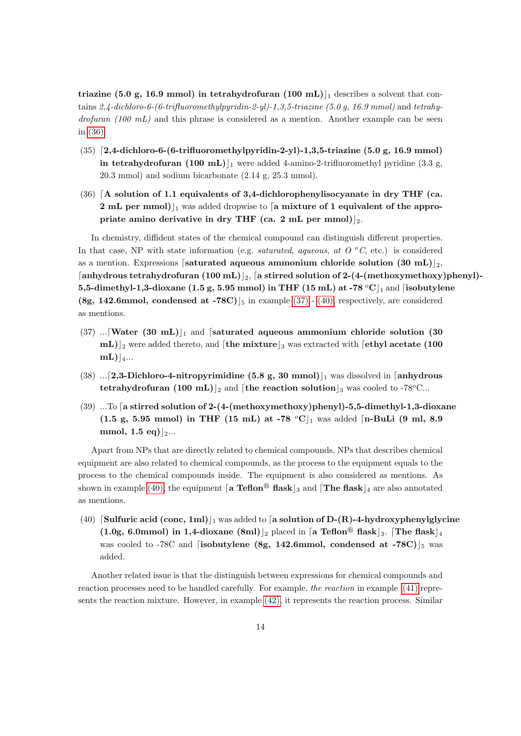triazine (5.0 g, 16.9 mmol) in tetrahydrofuran (100 mL)  $\vert$  describes a solvent that contains 2,4-dichloro-6-(6-trifluoromethylpyridin-2-yl)-1,3,5-triazine (5.0 g, 16.9 mmol) and tetrahy $d$ rofuran (100 mL) and this phrase is considered as a mention. Another example can be seen in [\(36\).](#page-13-1)

- <span id="page-13-0"></span> $(35)$  [2,4-dichloro-6-(6-trifluoromethylpyridin-2-yl)-1,3,5-triazine (5.0 g, 16.9 mmol) in tetrahydrofuran (100 mL)<sub>1</sub> were added 4-amino-2-trifluoromethyl pyridine (3.3 g, 20.3 mmol) and sodium bicarbonate (2.14 g, 25.3 mmol).
- <span id="page-13-1"></span> $(36)$  [A solution of 1.1 equivalents of 3,4-dichlorophenylisocyanate in dry THF (ca. 2 mL per mmol) $\vert_1$  was added dropwise to [a mixture of 1 equivalent of the appropriate amino derivative in dry THF (ca. 2 mL per mmol)]<sub>2</sub>.

In chemistry, diffident states of the chemical compound can distinguish different properties. In that case, NP with state information (e.g. saturated, aqueous, at  $O^oC$ , etc.) is considered as a mention. Expressions [saturated aqueous ammonium chloride solution (30 mL) $_2$ , [anhydrous tetrahydrofuran (100 mL)  $_{2}$ , [a stirred solution of 2-(4-(methoxymethoxy)phenyl)-5,5-dimethyl-1,3-dioxane (1.5 g, 5.95 mmol) in THF (15 mL) at -78  $^{\circ}$ C $|_1$  and [isobutylene (8g, 142.6mmol, condensed at -78C)  $\vert_5$  in example [\(37\)](#page-13-2) - [\(40\),](#page-13-3) respectively, are considered as mentions.

- <span id="page-13-2"></span> $(37)$  ... Water  $(30 \text{ mL})|_1$  and [saturated aqueous ammonium chloride solution (30)  $mL$ )<sub>2</sub> were added thereto, and [the mixture]<sub>3</sub> was extracted with [ethyl acetate (100  $mL$ ) |4...
- (38) ...[2,3-Dichloro-4-nitropyrimidine (5.8 g, 30 mmol)<sup>[1]</sup> was dissolved in [anhydrous] tetrahydrofuran (100 mL)<sup>2</sup> and [the reaction solution<sup>2</sup> was cooled to -78<sup>o</sup>C...
- $(39)$  ...To [a stirred solution of 2-(4-(methoxymethoxy)phenyl)-5,5-dimethyl-1,3-dioxane (1.5 g, 5.95 mmol) in THF (15 mL) at -78  $^{\circ}$ C $|_1$  was added [n-BuLi (9 ml, 8.9 mmol, 1.5 eq) $|_{2}...$

Apart from NPs that are directly related to chemical compounds, NPs that describes chemical equipment are also related to chemical compounds, as the process to the equipment equals to the process to the chemical compounds inside. The equipment is also considered as mentions. As shown in example [\(40\),](#page-13-3) the equipment [a Teflon<sup>®</sup> flask]<sub>3</sub> and [The flask]<sub>4</sub> are also annotated as mentions.

<span id="page-13-3"></span>(40) Sulfuric acid (conc, 1ml)<sub>1</sub> was added to [a solution of D-(R)-4-hydroxyphenylglycine  $(1.0g, 6.0mmol)$  in 1,4-dioxane  $(8ml)|_2$  placed in [a Teflon<sup>®</sup> flask]<sub>3</sub>. [The flask]<sub>4</sub> was cooled to -78C and [isobutylene (8g, 142.6mmol, condensed at -78C)  $\vert_5$  was added.

Another related issue is that the distinguish between expressions for chemical compounds and reaction processes need to be handled carefully. For example, the reaction in example [\(41\)](#page-14-0) represents the reaction mixture. However, in example [\(42\),](#page-14-1) it represents the reaction process. Similar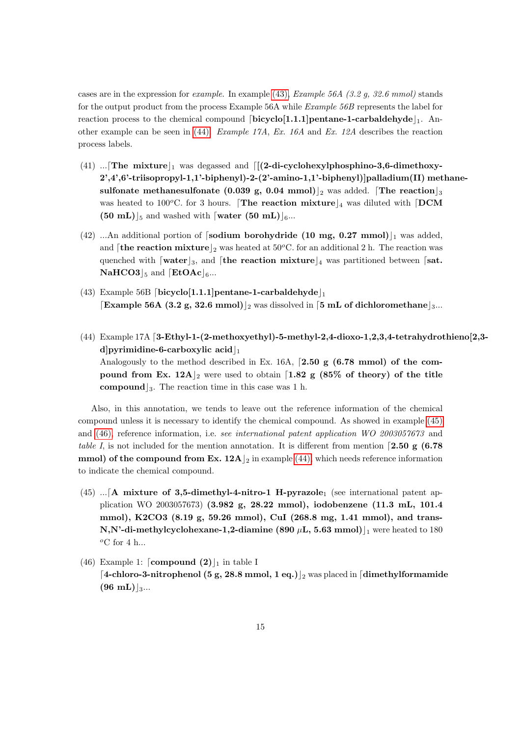cases are in the expression for *example*. In example [\(43\),](#page-14-2) *Example 56A (3.2 g, 32.6 mmol)* stands for the output product from the process Example 56A while Example 56B represents the label for reaction process to the chemical compound  $[\text{bicyclo}[1.1.1]$  pentane-1-carbaldehyde $_1$ . Another example can be seen in  $(44)$ . Example 17A, Ex. 16A and Ex. 12A describes the reaction process labels.

- <span id="page-14-0"></span>(41) ... The mixture  $\vert_1$  was degassed and  $\vert$  ((2-di-cyclohexylphosphino-3,6-dimethoxy-2',4',6'-triisopropyl-1,1'-biphenyl)-2-(2'-amino-1,1'-biphenyl)]palladium(II) methanesulfonate methanesulfonate (0.039 g, 0.04 mmol) <sub>2</sub> was added. The reaction  $\vert_3$ was heated to 100<sup>o</sup>C. for 3 hours. [The reaction mixture  $\vert_4$  was diluted with [DCM  $(50 \text{ mL})_{5}$  and washed with [water  $(50 \text{ mL})_{6}...$
- <span id="page-14-1"></span>(42) ...An additional portion of [sodium borohydride (10 mg, 0.27 mmol) $\vert_1$  was added, and **[the reaction mixture**]<sub>2</sub> was heated at  $50^{\circ}$ C. for an additional 2 h. The reaction was quenched with  $\lceil \text{water} \rceil_3$ , and  $\lceil \text{the reaction mixture} \rceil_4$  was partitioned between  $\lceil \text{sat.} \rceil$ .  $\textbf{NaHCO3}|_5$  and  $\textbf{[EtOAc]}_6...$
- <span id="page-14-2"></span>(43) Example 56B [bicyclo[1.1.1]pentane-1-carbaldehyde]<sub>1</sub> **Example 56A (3.2 g, 32.6 mmol)** 2 was dissolved in [5 mL of dichloromethane  $\vert$ 3...
- <span id="page-14-3"></span> $(44)$  Example 17A [3-Ethyl-1-(2-methoxyethyl)-5-methyl-2,4-dioxo-1,2,3,4-tetrahydrothieno[2,3d]pyrimidine-6-carboxylic acid $\vert_1$ Analogously to the method described in Ex. 16A,  $[2.50 \text{ g } (6.78 \text{ mmol})$  of the compound from Ex.  $12A_{2}$  were used to obtain [1.82 g (85% of theory) of the title **compound**  $\vert_3$ . The reaction time in this case was 1 h.

Also, in this annotation, we tends to leave out the reference information of the chemical compound unless it is necessary to identify the chemical compound. As showed in example [\(45\)](#page-14-4) and [\(46\),](#page-14-5) reference information, i.e. see international patent application WO 2003057673 and table I, is not included for the mention annotation. It is different from mention [2.50 g (6.78) mmol) of the compound from Ex.  $12A\vert_2$  in example [\(44\),](#page-14-3) which needs reference information to indicate the chemical compound.

- <span id="page-14-4"></span> $(45)$  ... [A mixture of 3,5-dimethyl-4-nitro-1 H-pyrazole<sub>1</sub> (see international patent application WO 2003057673) (3.982 g, 28.22 mmol), iodobenzene (11.3 mL, 101.4 mmol), K2CO3 (8.19 g, 59.26 mmol), CuI (268.8 mg, 1.41 mmol), and trans-N,N'-di-methylcyclohexane-1,2-diamine (890  $\mu$ L, 5.63 mmol)<sup>[1]</sup> were heated to 180  $\rm ^{o}C$  for 4 h...
- <span id="page-14-5"></span>(46) Example 1:  $\lceil \text{compound (2)} \rceil_1$  in table I [4-chloro-3-nitrophenol (5 g, 28.8 mmol, 1 eq.)]<sub>2</sub> was placed in [dimethylformamide]  $(96 \text{ mL})|_{3...}$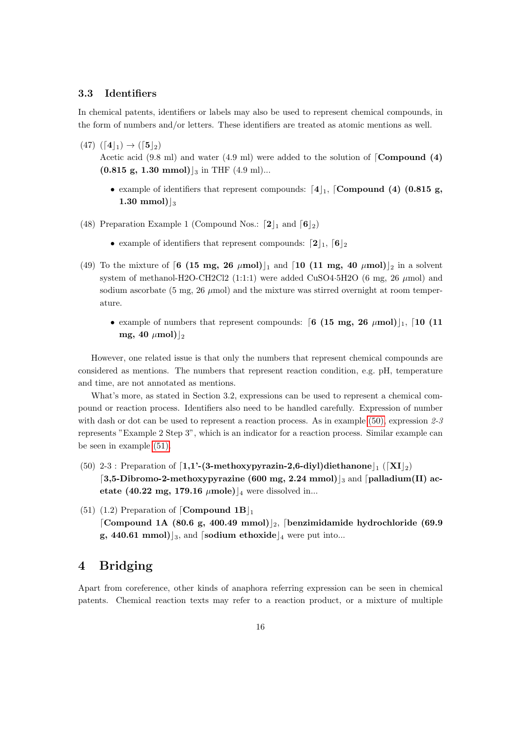## <span id="page-15-0"></span>3.3 Identifiers

In chemical patents, identifiers or labels may also be used to represent chemical compounds, in the form of numbers and/or letters. These identifiers are treated as atomic mentions as well.

- $(47)$   $([4]_1) \rightarrow ([5]_2)$ Acetic acid  $(9.8 \text{ ml})$  and water  $(4.9 \text{ ml})$  were added to the solution of  $\lceil \text{Compound } (4) \rceil$  $(0.815 \text{ g}, 1.30 \text{ mmol})|_3$  in THF  $(4.9 \text{ ml})...$ 
	- example of identifiers that represent compounds:  $[4]_1$ , [Compound (4) (0.815 g, 1.30 mmol $\vert$ <sub>3</sub>
- (48) Preparation Example 1 (Compound Nos.:  $[2]_1$  and  $[6]_2$ )
	- example of identifiers that represent compounds:  $[2]_1$ ,  $[6]_2$
- (49) To the mixture of  $\begin{bmatrix}6 & (15 \text{ mg}, 26 \mu \text{mol})\end{bmatrix}$  and  $\begin{bmatrix}10 & (11 \text{ mg}, 40 \mu \text{mol})\end{bmatrix}$ <sub>2</sub> in a solvent system of methanol-H2O-CH2Cl2  $(1:1:1)$  were added CuSO4 $\cdot$ 5H2O (6 mg, 26  $\mu$ mol) and sodium ascorbate (5 mg, 26  $\mu$ mol) and the mixture was stirred overnight at room temperature.
	- example of numbers that represent compounds:  $\left[6 \right. (15 \text{ mg}, 26 \mu \text{mol})\left|_1, \left[10 \right. (11 \text{ g})\right]$ mg, 40  $\mu$ mol) $\vert_2$

However, one related issue is that only the numbers that represent chemical compounds are considered as mentions. The numbers that represent reaction condition, e.g. pH, temperature and time, are not annotated as mentions.

What's more, as stated in Section 3.2, expressions can be used to represent a chemical compound or reaction process. Identifiers also need to be handled carefully. Expression of number with dash or dot can be used to represent a reaction process. As in example [\(50\),](#page-15-2) expression  $2-\frac{3}{5}$ represents "Example 2 Step 3", which is an indicator for a reaction process. Similar example can be seen in example [\(51\).](#page-15-3)

- <span id="page-15-2"></span>(50) 2-3 : Preparation of  $\left[1,1'$ -(3-methoxypyrazin-2,6-diyl)diethanone $\left[1, \left(\left[XI\right]_2\right)\right]$ [3,5-Dibromo-2-methoxypyrazine (600 mg, 2.24 mmol) <sub>3</sub> and [palladium(II) acetate (40.22 mg, 179.16  $\mu$ mole)<sup>[4]</sup> were dissolved in...
- <span id="page-15-3"></span>(51) (1.2) Preparation of [Compound  $1B|_1$ [Compound 1A (80.6 g, 400.49 mmol)]<sub>2</sub>, [benzimidamide hydrochloride (69.9 g, 440.61 mmol)  $|_3$ , and [sodium ethoxide  $|_4$  were put into...

# <span id="page-15-1"></span>4 Bridging

Apart from coreference, other kinds of anaphora referring expression can be seen in chemical patents. Chemical reaction texts may refer to a reaction product, or a mixture of multiple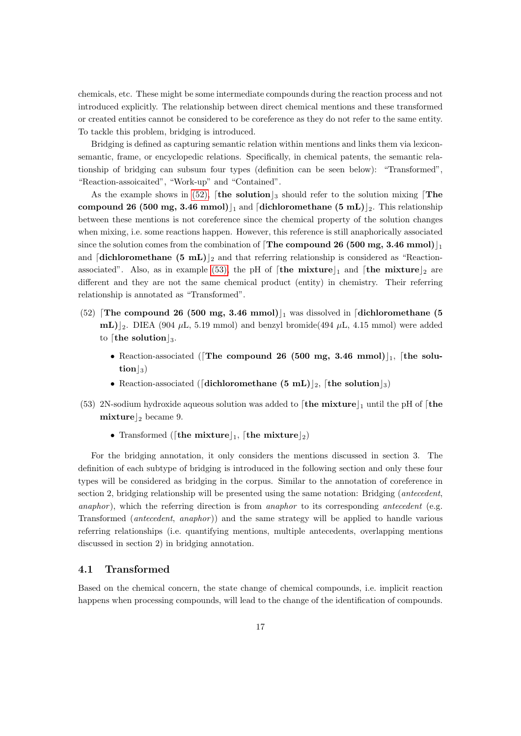chemicals, etc. These might be some intermediate compounds during the reaction process and not introduced explicitly. The relationship between direct chemical mentions and these transformed or created entities cannot be considered to be coreference as they do not refer to the same entity. To tackle this problem, bridging is introduced.

Bridging is defined as capturing semantic relation within mentions and links them via lexiconsemantic, frame, or encyclopedic relations. Specifically, in chemical patents, the semantic relationship of bridging can subsum four types (definition can be seen below): "Transformed", "Reaction-assoicaited", "Work-up" and "Contained".

As the example shows in [\(52\),](#page-16-1) [the solution  $\vert_3$  should refer to the solution mixing The compound 26 (500 mg, 3.46 mmol) $\vert_1$  and [dichloromethane (5 mL) $\vert_2$ . This relationship between these mentions is not coreference since the chemical property of the solution changes when mixing, i.e. some reactions happen. However, this reference is still anaphorically associated since the solution comes from the combination of  $\text{[The compound 26 (500 mg, 3.46 mmol)]}_1$ and  $\left[\text{dichloromethane (5 mL)}\right]_2$  and that referring relationship is considered as "Reaction-associated". Also, as in example [\(53\),](#page-16-2) the pH of [the mixture]<sub>1</sub> and [the mixture]<sub>2</sub> are different and they are not the same chemical product (entity) in chemistry. Their referring relationship is annotated as "Transformed".

- <span id="page-16-1"></span>(52) **The compound 26 (500 mg, 3.46 mmol)**, was dissolved in **[dichloromethane (5**)  $\text{mL}$ )<sub>2</sub>. DIEA (904  $\mu$ L, 5.19 mmol) and benzyl bromide(494  $\mu$ L, 4.15 mmol) were added to [the solution]<sub>3</sub>.
	- Reaction-associated (The compound 26 (500 mg, 3.46 mmol) $\vert_1$ , [the solu- $\text{tion}|_3$
	- Reaction-associated ([dichloromethane  $(5 \text{ mL})_{2}$ , [the solution]<sub>3</sub>)
- <span id="page-16-2"></span>(53) 2N-sodium hydroxide aqueous solution was added to  $\lceil \text{the mixture} \rceil_1$  until the pH of  $\lceil \text{the$ mixture  $\vert_2$  became 9.
	- Transformed ([the mixture], [the mixture]2)

For the bridging annotation, it only considers the mentions discussed in section 3. The definition of each subtype of bridging is introduced in the following section and only these four types will be considered as bridging in the corpus. Similar to the annotation of coreference in section 2, bridging relationship will be presented using the same notation: Bridging (*antecedent*, anaphor), which the referring direction is from *anaphor* to its corresponding *antecedent* (e.g. Transformed (antecedent, anaphor )) and the same strategy will be applied to handle various referring relationships (i.e. quantifying mentions, multiple antecedents, overlapping mentions discussed in section 2) in bridging annotation.

## <span id="page-16-0"></span>4.1 Transformed

Based on the chemical concern, the state change of chemical compounds, i.e. implicit reaction happens when processing compounds, will lead to the change of the identification of compounds.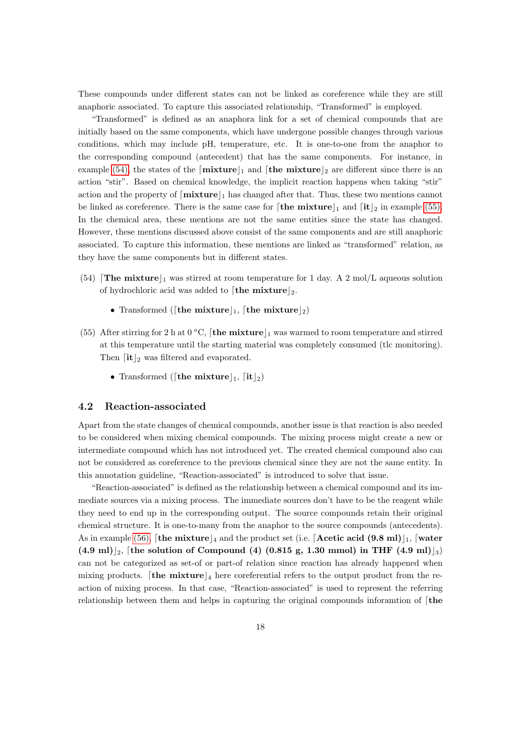These compounds under different states can not be linked as coreference while they are still anaphoric associated. To capture this associated relationship, "Transformed" is employed.

"Transformed" is defined as an anaphora link for a set of chemical compounds that are initially based on the same components, which have undergone possible changes through various conditions, which may include pH, temperature, etc. It is one-to-one from the anaphor to the corresponding compound (antecedent) that has the same components. For instance, in example [\(54\),](#page-17-1) the states of the  $\lceil \text{mixture} \rceil_1$  and  $\lceil \text{the mixture} \rceil_2$  are different since there is an action "stir". Based on chemical knowledge, the implicit reaction happens when taking "stir" action and the property of  $\lceil \text{mixture} \rceil_1$  has changed after that. Thus, these two mentions cannot be linked as coreference. There is the same case for  $\lceil \text{the mixture} \rceil_1$  and  $\lceil \text{it} \rceil_2$  in example [\(55\).](#page-17-2) In the chemical area, these mentions are not the same entities since the state has changed. However, these mentions discussed above consist of the same components and are still anaphoric associated. To capture this information, these mentions are linked as "transformed" relation, as they have the same components but in different states.

- <span id="page-17-1"></span>(54) **The mixture**  $\vert_1$  was stirred at room temperature for 1 day. A 2 mol/L aqueous solution of hydrochloric acid was added to [the mixture]2.
	- Transformed ([the mixture], [the mixture]2)
- <span id="page-17-2"></span>(55) After stirring for 2 h at 0 °C, **[the mixture**] was warmed to room temperature and stirred at this temperature until the starting material was completely consumed (tlc monitoring). Then  $\lceil \text{it} \rceil_2$  was filtered and evaporated.
	- Transformed ([the mixture],  $\left[{\text{it}}\right]_2$ )

#### <span id="page-17-0"></span>4.2 Reaction-associated

Apart from the state changes of chemical compounds, another issue is that reaction is also needed to be considered when mixing chemical compounds. The mixing process might create a new or intermediate compound which has not introduced yet. The created chemical compound also can not be considered as coreference to the previous chemical since they are not the same entity. In this annotation guideline, "Reaction-associated" is introduced to solve that issue.

"Reaction-associated" is defined as the relationship between a chemical compound and its immediate sources via a mixing process. The immediate sources don't have to be the reagent while they need to end up in the corresponding output. The source compounds retain their original chemical structure. It is one-to-many from the anaphor to the source compounds (antecedents). As in example [\(56\),](#page-18-0) [the mixture  $_4$  and the product set (i.e. [Acetic acid (9.8 ml)]<sub>1</sub>, [water  $(4.9 \text{ ml})_{2}$ , [the solution of Compound (4) (0.815 g, 1.30 mmol) in THF (4.9 ml)  $_{3}$ ) can not be categorized as set-of or part-of relation since reaction has already happened when mixing products. [the mixture  $\vert_4$  here coreferential refers to the output product from the reaction of mixing process. In that case, "Reaction-associated" is used to represent the referring relationship between them and helps in capturing the original compounds inforamtion of  $[the$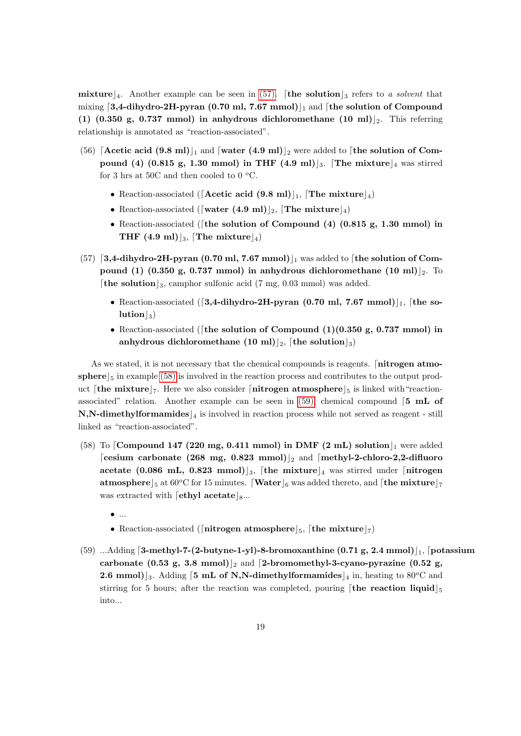mixture 4. Another example can be seen in [\(57\).](#page-18-1) [the solution  $\frac{1}{3}$  refers to a solvent that mixing  $\left[3,4\text{-dihydro-2H-pyran } (0.70 \text{ ml}, 7.67 \text{ mmol})\right]$  and  $\left[\text{the solution of Compound}\right]$ (1) (0.350 g, 0.737 mmol) in anhydrous dichloromethane (10 ml)  $|_2$ . This referring relationship is annotated as "reaction-associated".

- <span id="page-18-0"></span>(56) [Acetic acid (9.8 ml)<sub>1</sub> and [water (4.9 ml)<sub>2</sub> were added to [the solution of Compound (4) (0.815 g, 1.30 mmol) in THF (4.9 ml) . The mixture  $\vert_4$  was stirred for 3 hrs at 50C and then cooled to 0  $\rm{^oC}$ .
	- Reaction-associated ( $[$ Acetic acid  $(9.8 \text{ ml})$ <sub>1</sub>,  $[$ The mixture $]_4$ )
	- Reaction-associated ([water (4.9 ml)]<sub>2</sub>, [The mixture]<sub>4</sub>)
	- Reaction-associated ([the solution of Compound  $(4)$   $(0.815 g, 1.30 mmol)$  in THF  $(4.9 \text{ ml})|_3$ , [The mixture]<sub>4</sub>)
- <span id="page-18-1"></span> $(57)$  [3,4-dihydro-2H-pyran (0.70 ml, 7.67 mmol)] was added to [the solution of Compound (1) (0.350 g, 0.737 mmol) in anhydrous dichloromethane (10 ml)  $_2$ . To [the solution]<sub>3</sub>, camphor sulfonic acid (7 mg, 0.03 mmol) was added.
	- Reaction-associated ([3,4-dihydro-2H-pyran (0.70 ml, 7.67 mmol) $\vert_1$ , [the so $lution|_3)$
	- Reaction-associated ([the solution of Compound  $(1)(0.350 \text{ g}, 0.737 \text{ mmol})$  in anhydrous dichloromethane (10 ml) |2, [the solution |3]

As we stated, it is not necessary that the chemical compounds is reagents. [**nitrogen atmo**sphere  $\frac{5}{5}$  in example [\(58\)](#page-18-2) is involved in the reaction process and contributes to the output product [the mixture]<sub>7</sub>. Here we also consider [nitrogen atmosphere]<sub>5</sub> is linked with "reactionassociated" relation. Another example can be seen in  $(59)$ , chemical compound  $\begin{bmatrix}5 & mL \end{bmatrix}$  of  $\mathbf{N},\mathbf{N}\text{-dimethylformamides}|_4$  is involved in reaction process while not served as reagent - still linked as "reaction-associated".

- <span id="page-18-2"></span>(58) To Compound 147 (220 mg, 0.411 mmol) in DMF (2 mL) solution  $\vert_1$  were added [cesium carbonate (268 mg, 0.823 mmol)|2 and [methyl-2-chloro-2,2-difluoro acetate (0.086 mL, 0.823 mmol)<sup>3</sup>, the mixture  $\frac{4}{4}$  was stirred under  $\frac{1}{4}$  mixture **atmosphere**  $\frac{5}{5}$  at 60<sup>o</sup>C for 15 minutes. **Water**  $\frac{6}{6}$  was added thereto, and **[the mixture**] was extracted with  $\lceil \text{ethyl acetate} \rceil_{8}$ ...
	- $\bullet$  ...
	- Reaction-associated ([nitrogen atmosphere]<sub>5</sub>, [the mixture]<sub>7</sub>)
- <span id="page-18-3"></span>(59) ...Adding  $\lceil 3-methyl-7-(2-buty-1-yl)-8-bromoxanthine (0.71 g, 2.4 mmol)\rceil$ ,  $\lceil 0.71 g, 2.4 mmol \rceil$ carbonate (0.53 g, 3.8 mmol)  $\vert_2$  and [2-bromomethyl-3-cyano-pyrazine (0.52 g, **2.6 mmol**)<sub>3</sub>. Adding [5 **mL of N,N-dimethylformamides** |<sub>4</sub> in, heating to 80<sup>o</sup>C and stirring for 5 hours; after the reaction was completed, pouring [the reaction liquid  $\frac{1}{5}$ ] into...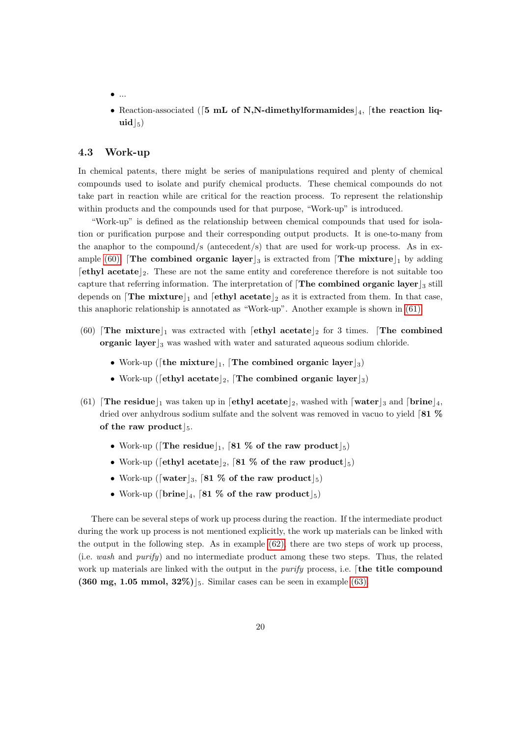- $\bullet$  ...
- Reaction-associated (5 mL of N,N-dimethylformamides  $\vert_4$ , [the reaction liq $uid|_5)$

## <span id="page-19-0"></span>4.3 Work-up

In chemical patents, there might be series of manipulations required and plenty of chemical compounds used to isolate and purify chemical products. These chemical compounds do not take part in reaction while are critical for the reaction process. To represent the relationship within products and the compounds used for that purpose, "Work-up" is introduced.

"Work-up" is defined as the relationship between chemical compounds that used for isolation or purification purpose and their corresponding output products. It is one-to-many from the anaphor to the compound/s (antecedent/s) that are used for work-up process. As in ex-ample [\(60\),](#page-19-1) **The combined organic layer**  $\vert_3$  is extracted from **The mixture**  $\vert_1$  by adding  $\lceil$ ethyl acetate $\lceil_2$ . These are not the same entity and coreference therefore is not suitable too capture that referring information. The interpretation of  $\int$ The combined organic layer  $\frac{1}{3}$  still depends on **The mixture**<sup>[1]</sup> and **extract case**, as it is extracted from them. In that case, this anaphoric relationship is annotated as "Work-up". Another example is shown in [\(61\).](#page-19-2)

- <span id="page-19-1"></span>(60) The mixture  $\vert_1$  was extracted with [ethyl acetate  $\vert_2$  for 3 times. The combined organic layer  $\vert_3$  was washed with water and saturated aqueous sodium chloride.
	- Work-up ([the mixture], The combined organic layer]<sub>3</sub>)
	- Work-up ([ethyl acetate]<sub>2</sub>, [The combined organic layer]<sub>3</sub>)
- <span id="page-19-2"></span>(61) **The residue**<sub>1</sub> was taken up in **[ethyl acetate**]<sub>2</sub>, washed with **[water**]<sub>3</sub> and **[brine**]<sub>4</sub>, dried over anhydrous sodium sulfate and the solvent was removed in vacuo to yield  $81\%$ of the raw product  $\vert_5$ .
	- Work-up ([The residue], [81 % of the raw product]<sub>5</sub>)
	- Work-up ([ethyl acetate]<sub>2</sub>, [81 % of the raw product]<sub>5</sub>)
	- Work-up ([water]<sub>3</sub>, [81 % of the raw product]<sub>5</sub>)
	- Work-up ([brine]<sub>4</sub>, [81 % of the raw product]<sub>5</sub>)

There can be several steps of work up process during the reaction. If the intermediate product during the work up process is not mentioned explicitly, the work up materials can be linked with the output in the following step. As in example [\(62\),](#page-20-0) there are two steps of work up process, (i.e. wash and purify) and no intermediate product among these two steps. Thus, the related work up materials are linked with the output in the *purify* process, i.e. [the title compound (360 mg, 1.05 mmol,  $32\%)$ <sub>5</sub>. Similar cases can be seen in example [\(63\).](#page-20-1)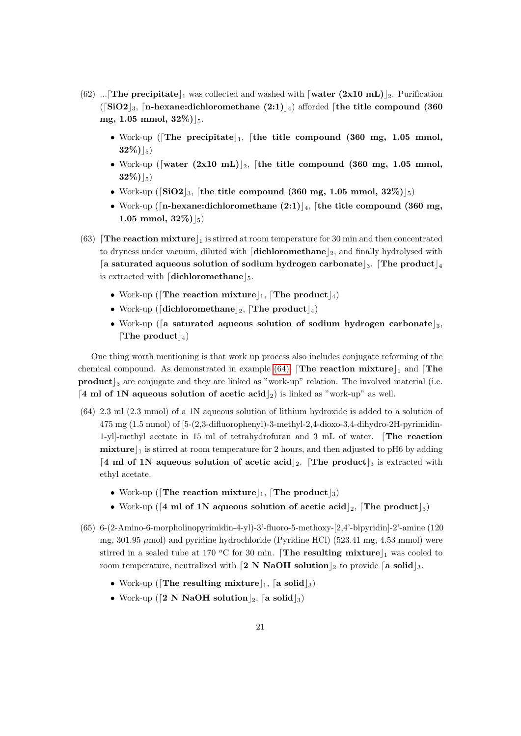- <span id="page-20-0"></span>(62) ... The precipitate  $\vert_1$  was collected and washed with  $\lceil \text{water } (2x10 \text{ mL}) \rceil_2$ . Purification ( $\lceil \text{SiO2} \rceil_3$ ,  $\lceil \text{n-hexane:dichloromethane (2:1)} \rceil_4$ ) afforded  $\lceil \text{the title compound (360)} \rceil_4$ mg, 1.05 mmol,  $32\%$ ) $|_5$ .
	- Work-up (The precipitate  $\vert_1$ , [the title compound (360 mg, 1.05 mmol,  $32\%)$ <sub>5</sub>)
	- Work-up ([water  $(2x10 \text{ mL})_{2}$ , [the title compound (360 mg, 1.05 mmol,  $32\%)$ <sub>5</sub>)
	- Work-up ( $\lceil \text{SiO2} \rceil_3$ , [the title compound (360 mg, 1.05 mmol, 32%) $\lceil_5 \rceil$
	- Work-up ([n-hexane:dichloromethane  $(2:1)_{4}$ , [the title compound (360 mg, 1.05 mmol,  $32\%$  $|_5$ )
- <span id="page-20-1"></span>(63) **The reaction mixture**  $\vert_1$  is stirred at room temperature for 30 min and then concentrated to dryness under vacuum, diluted with  $\left[ \text{dichloromethane} \right]_2$ , and finally hydrolysed with [a saturated aqueous solution of sodium hydrogen carbonate]<sub>3</sub>. The product  $\vert_4$ is extracted with  $\boxed{\text{dichloromethane}}_{5}$ .
	- Work-up (The reaction mixture)<sub>1</sub>, The product  $\vert_4$ )
	- Work-up ([dichloromethane]<sub>2</sub>, [The product]<sub>4</sub>)
	- Work-up (a saturated aqueous solution of sodium hydrogen carbonate  $\alpha$ ), [The product]<sub>4</sub>]

One thing worth mentioning is that work up process also includes conjugate reforming of the chemical compound. As demonstrated in example [\(64\),](#page-20-2)  $[{\rm The}$  reaction mixture  $]_1$  and  $[{\rm The}$  $\mathbf{product} \mid_3$  are conjugate and they are linked as "work-up" relation. The involved material (i.e. [4 ml of 1N aqueous solution of acetic acid |2] is linked as "work-up" as well.

- <span id="page-20-2"></span>(64) 2.3 ml (2.3 mmol) of a 1N aqueous solution of lithium hydroxide is added to a solution of 475 mg (1.5 mmol) of [5-(2,3-difluorophenyl)-3-methyl-2,4-dioxo-3,4-dihydro-2H-pyrimidin-1-yl]-methyl acetate in 15 ml of tetrahydrofuran and 3 mL of water. [The reaction mixture  $\vert_1$  is stirred at room temperature for 2 hours, and then adjusted to pH6 by adding [4 ml of 1N aqueous solution of acetic acid |2. [The product |3 is extracted with ethyl acetate.
	- Work-up (The reaction mixture)<sub>1</sub>, The product  $\vert_3$ )
	- Work-up ( $\lceil 4 \text{ ml of 1N} \rceil$  aqueous solution of acetic acid $\lceil 2 \rceil$ . The product  $\lceil 3 \rceil$
- (65) 6-(2-Amino-6-morpholinopyrimidin-4-yl)-3'-fluoro-5-methoxy-[2,4'-bipyridin]-2'-amine (120 mg, 301.95  $\mu$ mol) and pyridine hydrochloride (Pyridine HCl) (523.41 mg, 4.53 mmol) were stirred in a sealed tube at 170 °C for 30 min. The resulting mixture  $\vert_1$  was cooled to room temperature, neutralized with  $2 \text{ N }$  NaOH solution  $\vert_2$  to provide  $\vert_3$  solid $\vert_3$ .
	- Work-up ([The resulting mixture], [a solid]<sub>3</sub>)
	- Work-up ( $\lceil 2 \text{ N } \text{NaOH} \text{ solution} \rceil_2$ ,  $\lceil a \text{ solid} \rceil_3$ )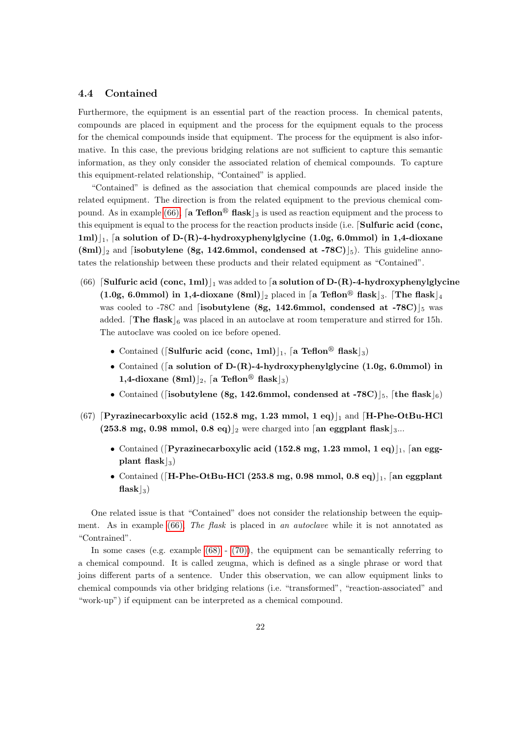#### <span id="page-21-0"></span>4.4 Contained

Furthermore, the equipment is an essential part of the reaction process. In chemical patents, compounds are placed in equipment and the process for the equipment equals to the process for the chemical compounds inside that equipment. The process for the equipment is also informative. In this case, the previous bridging relations are not sufficient to capture this semantic information, as they only consider the associated relation of chemical compounds. To capture this equipment-related relationship, "Contained" is applied.

"Contained" is defined as the association that chemical compounds are placed inside the related equipment. The direction is from the related equipment to the previous chemical com-pound. As in example [\(66\),](#page-21-1) [a Teflon<sup>®</sup> flask]<sub>3</sub> is used as reaction equipment and the process to this equipment is equal to the process for the reaction products inside (i.e. Sulfuric acid (conc, 1ml) $\vert_1$ , [a solution of D-(R)-4-hydroxyphenylglycine (1.0g, 6.0mmol) in 1,4-dioxane  $(\text{8ml})_2$  and [isobutylene (8g, 142.6mmol, condensed at -78C)[5]. This guideline annotates the relationship between these products and their related equipment as "Contained".

- <span id="page-21-1"></span>(66) Sulfuric acid (conc, 1ml) $\vert$ <sub>1</sub> was added to [a solution of D-(R)-4-hydroxyphenylglycine (1.0g, 6.0mmol) in 1,4-dioxane (8ml) <sub>2</sub> placed in [a Teflon<sup>®</sup> flask <sub>3</sub>. [The flask |4] was cooled to -78C and [isobutylene (8g, 142.6mmol, condensed at -78C)  $\vert_5$  was added. The flask  $\vert_6$  was placed in an autoclave at room temperature and stirred for 15h. The autoclave was cooled on ice before opened.
	- Contained (Sulfuric acid (conc, 1ml) |<sub>1</sub>, [a Teflon<sup>®</sup> flask |<sub>3</sub>)
	- Contained ([a solution of D-(R)-4-hydroxyphenylglycine (1.0g, 6.0mmol) in 1,4-dioxane (8ml)<sup>2</sup>, [a Teflon<sup>®</sup> flask<sup>2</sup><sub>3</sub>)
	- Contained ([isobutylene (8g, 142.6mmol, condensed at -78C)  $\vert_5$ , [the flask]<sup>6</sup>)
- (67) [Pyrazinecarboxylic acid (152.8 mg, 1.23 mmol, 1 eq) $\vert$ <sub>1</sub> and [H-Phe-OtBu-HCl] (253.8 mg, 0.98 mmol, 0.8 eq) |2 were charged into [an eggplant flask]  $_3...$ 
	- Contained ([Pyrazinecarboxylic acid (152.8 mg, 1.23 mmol, 1 eq)]<sub>1</sub>, [an eggplant flask $|_3$ )
	- Contained ([H-Phe-OtBu-HCl (253.8 mg, 0.98 mmol, 0.8 eq) |1, [an eggplant]  $\{ \text{flask} |_{3} \}$

One related issue is that "Contained" does not consider the relationship between the equip-ment. As in example [\(66\),](#page-21-1) The flask is placed in an autoclave while it is not annotated as "Contrained".

In some cases (e.g. example  $(68)$  -  $(70)$ ), the equipment can be semantically referring to a chemical compound. It is called zeugma, which is defined as a single phrase or word that joins different parts of a sentence. Under this observation, we can allow equipment links to chemical compounds via other bridging relations (i.e. "transformed", "reaction-associated" and "work-up") if equipment can be interpreted as a chemical compound.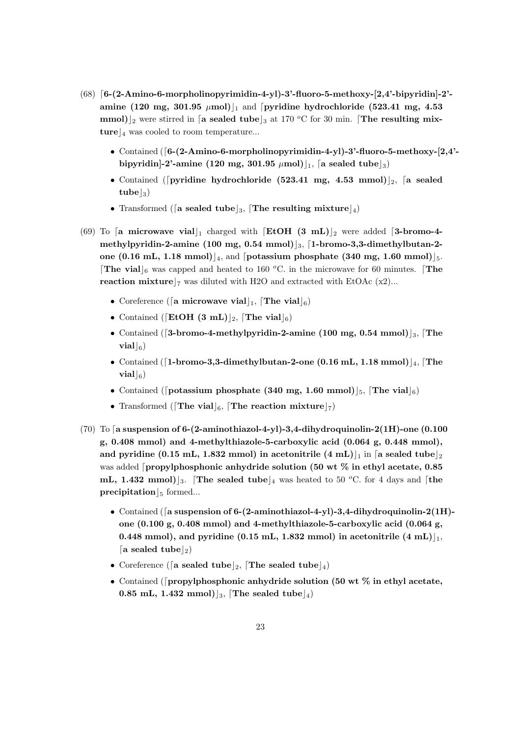- <span id="page-22-0"></span> $(68)$  [6-(2-Amino-6-morpholinopyrimidin-4-yl)-3'-fluoro-5-methoxy-[2,4'-bipyridin]-2'amine (120 mg, 301.95  $\mu$ mol) $\vert_1$  and [pyridine hydrochloride (523.41 mg, 4.53 mmol)<sup>2</sup> were stirred in [a sealed tube<sup>3</sup> at 170 <sup>o</sup>C for 30 min. [The resulting mixture  $\vert_4$  was cooled to room temperature...
	- Contained  $(6-(2-Amino-6-morphism)$ -gradinopyrimidin-4-yl)-3'-fluoro-5-methoxy- $[2,4]$ bipyridin]-2'-amine (120 mg, 301.95  $\mu$ mol) $\vert_1$ , [a sealed tube $\vert_3$ )
	- Contained ([pyridine hydrochloride (523.41 mg, 4.53 mmol)]<sub>2</sub>, [a sealed  $\text{tube}|_3)$
	- Transformed ([a sealed tube]<sub>3</sub>, [The resulting mixture]<sub>4</sub>)
- (69) To [a microwave vial | charged with  $\left[ \text{EtOH } (3 \text{ mL}) \right]_2$  were added [3-bromo-4methylpyridin-2-amine (100 mg, 0.54 mmol) $\vert_3$ , [1-bromo-3,3-dimethylbutan-2one (0.16 mL, 1.18 mmol) $\vert_4$ , and [potassium phosphate (340 mg, 1.60 mmol) $\vert_5$ . **The vial** 6 was capped and heated to 160 °C. in the microwave for 60 minutes. **The** reaction mixture  $\vert$ <sub>7</sub> was diluted with H2O and extracted with EtOAc (x2)...
	- Coreference ([a microwave vial], [The vial]<sub>6</sub>)
	- Contained ([EtOH (3 mL)]<sub>2</sub>, [The vial]<sub>6</sub>)
	- Contained ([3-bromo-4-methylpyridin-2-amine (100 mg, 0.54 mmol)]<sub>3</sub>, [The  $\mathbf{vial}|_6$
	- Contained ([1-bromo-3,3-dimethylbutan-2-one (0.16 mL, 1.18 mmol)] $_4$ , [The  $\boldsymbol{\mathrm{vial}}|_6$
	- Contained ([potassium phosphate (340 mg, 1.60 mmol)]<sub>5</sub>, [The vial]<sub>6</sub>)
	- Transformed ([The vial]<sub>6</sub>, [The reaction mixture]<sub>7</sub>)
- <span id="page-22-1"></span>(70) To [a suspension of 6-(2-aminothiazol-4-yl)-3,4-dihydroquinolin-2(1H)-one  $(0.100$ g, 0.408 mmol) and 4-methylthiazole-5-carboxylic acid (0.064 g, 0.448 mmol), and pyridine (0.15 mL, 1.832 mmol) in acetonitrile  $(4 \text{ mL})|_1$  in [a sealed tube |2] was added  $\lceil$ propylphosphonic anhydride solution (50 wt % in ethyl acetate, 0.85) mL, 1.432 mmol) <sub>3</sub>. The sealed tube <sub>4</sub> was heated to 50 °C. for 4 days and [the precipitation  $|_5$  formed...
	- Contained ([a suspension of 6-(2-aminothiazol-4-yl)-3,4-dihydroquinolin-2(1H)one  $(0.100 \text{ g}, 0.408 \text{ mmol})$  and 4-methylthiazole-5-carboxylic acid  $(0.064 \text{ g},$ 0.448 mmol), and pyridine (0.15 mL, 1.832 mmol) in acetonitrile  $(4 \text{ mL})|_{1}$ , [a sealed tube]<sub>2</sub>)
	- Coreference ([a sealed tube]<sub>2</sub>, [The sealed tube]<sub>4</sub>)
	- Contained ([propylphosphonic anhydride solution (50 wt  $\%$  in ethyl acetate, 0.85 mL, 1.432 mmol)<sup>[3]</sup>, [The sealed tube<sup>[4]</sup>)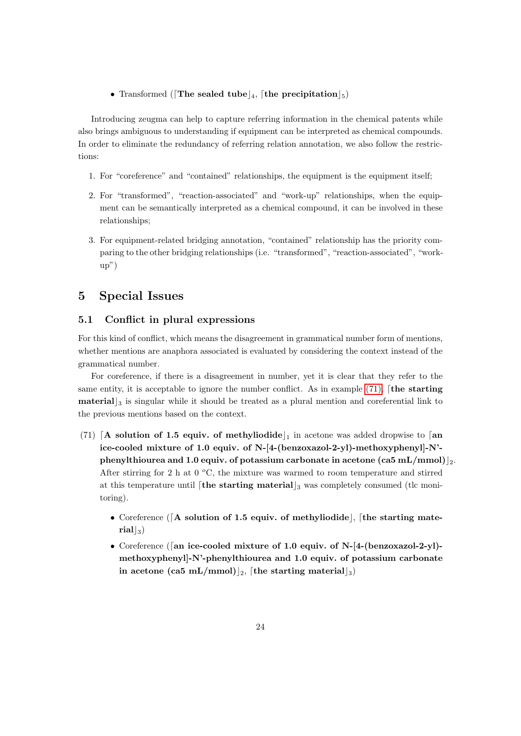• Transformed (The sealed tube)<sub>4</sub>, the precipitation  $\vert_5$ )

Introducing zeugma can help to capture referring information in the chemical patents while also brings ambiguous to understanding if equipment can be interpreted as chemical compounds. In order to eliminate the redundancy of referring relation annotation, we also follow the restrictions:

- 1. For "coreference" and "contained" relationships, the equipment is the equipment itself;
- 2. For "transformed", "reaction-associated" and "work-up" relationships, when the equipment can be semantically interpreted as a chemical compound, it can be involved in these relationships;
- 3. For equipment-related bridging annotation, "contained" relationship has the priority comparing to the other bridging relationships (i.e. "transformed", "reaction-associated", "workup")

# <span id="page-23-0"></span>5 Special Issues

## <span id="page-23-1"></span>5.1 Conflict in plural expressions

For this kind of conflict, which means the disagreement in grammatical number form of mentions, whether mentions are anaphora associated is evaluated by considering the context instead of the grammatical number.

For coreference, if there is a disagreement in number, yet it is clear that they refer to the same entity, it is acceptable to ignore the number conflict. As in example  $(71)$ , [the starting **material**  $\vert$ <sub>3</sub> is singular while it should be treated as a plural mention and coreferential link to the previous mentions based on the context.

- <span id="page-23-2"></span>(71) [A solution of 1.5 equiv. of methyliodide] in acetone was added dropwise to [an ice-cooled mixture of 1.0 equiv. of N-[4-(benzoxazol-2-yl)-methoxyphenyl]-N' phenylthiourea and 1.0 equiv. of potassium carbonate in acetone (ca5 mL/mmol) $|_2$ . After stirring for 2 h at  $0 \degree C$ , the mixture was warmed to room temperature and stirred at this temperature until  $\left[$  the starting material  $\right]_3$  was completely consumed (the monitoring).
	- Coreference ( $\lceil A \rceil$  solution of 1.5 equiv. of methyliodide), the starting mate- $\left. \text{rial} \right|_3$
	- Coreference ([an ice-cooled mixture of 1.0 equiv. of N- $[4$ -(benzoxazol-2-yl)methoxyphenyl]-N'-phenylthiourea and 1.0 equiv. of potassium carbonate in acetone (ca5 mL/mmol)|<sub>2</sub>, [the starting material]<sub>3</sub>)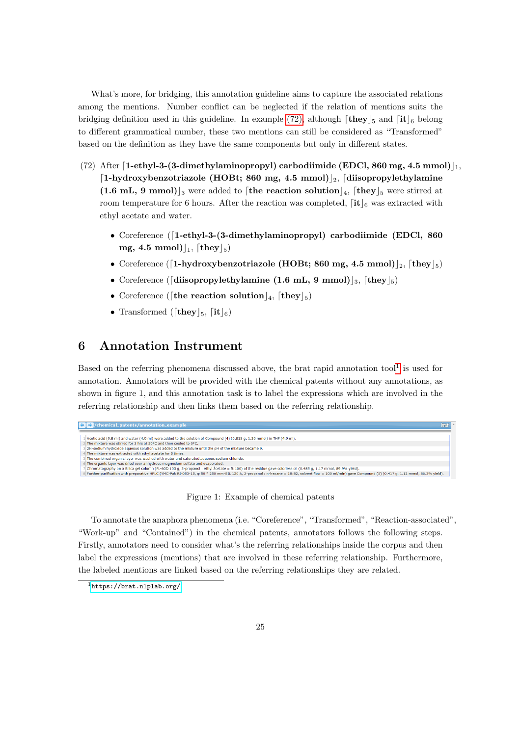What's more, for bridging, this annotation guideline aims to capture the associated relations among the mentions. Number conflict can be neglected if the relation of mentions suits the bridging definition used in this guideline. In example [\(72\),](#page-24-1) although  $\lceil \text{they} \rceil_5$  and  $\lceil \text{it} \rceil_6$  belong to different grammatical number, these two mentions can still be considered as "Transformed" based on the definition as they have the same components but only in different states.

- <span id="page-24-1"></span>(72) After [1-ethyl-3-(3-dimethylaminopropyl) carbodiimide (EDCl, 860 mg, 4.5 mmol) $\vert_1$ , [1-hydroxybenzotriazole (HOBt; 860 mg, 4.5 mmol)|2, [diisopropylethylamine] (1.6 mL, 9 mmol)<sub>3</sub> were added to [the reaction solution]<sub>4</sub>, [they]<sub>5</sub> were stirred at room temperature for 6 hours. After the reaction was completed,  $\begin{bmatrix} \mathbf{it} \end{bmatrix}_6$  was extracted with ethyl acetate and water.
	- Coreference  $(1-ethyl-3- (3-dimethylaminoprovl)$  carbodiimide (EDCl, 860) mg, 4.5 mmol) $\vert_1$ , [they $\vert_5$ )
	- Coreference ([1-hydroxybenzotriazole (HOBt; 860 mg, 4.5 mmol) $|_2$ , [they $|_5$ )
	- Coreference ([diisopropylethylamine (1.6 mL, 9 mmol)]<sub>3</sub>, [they]<sub>5</sub>)
	- Coreference ([the reaction solution]<sub>4</sub>, [they]<sub>5</sub>)
	- Transformed ([they  $|_5$ , [it  $|_6$ )

# <span id="page-24-0"></span>6 Annotation Instrument

Based on the referring phenomena discussed above, the brat rapid annotation tool<sup>[1](#page-24-2)</sup> is used for annotation. Annotators will be provided with the chemical patents without any annotations, as shown in figure 1, and this annotation task is to label the expressions which are involved in the referring relationship and then links them based on the referring relationship.



Figure 1: Example of chemical patents

To annotate the anaphora phenomena (i.e. "Coreference", "Transformed", "Reaction-associated", "Work-up" and "Contained") in the chemical patents, annotators follows the following steps. Firstly, annotators need to consider what's the referring relationships inside the corpus and then label the expressions (mentions) that are involved in these referring relationship. Furthermore, the labeled mentions are linked based on the referring relationships they are related.

<span id="page-24-2"></span><sup>1</sup><https://brat.nlplab.org/>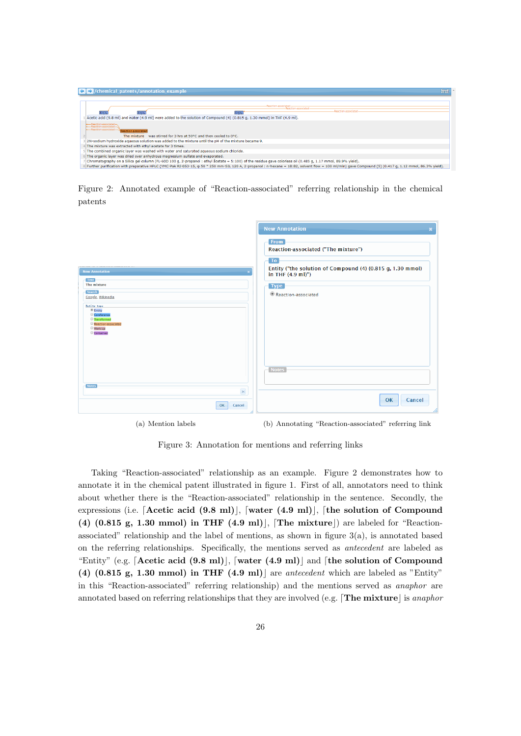

Figure 2: Annotated example of "Reaction-associated" referring relationship in the chemical patents

|                                                                                                                       | <b>New Annotation</b><br>$\boldsymbol{\varkappa}$                                                |
|-----------------------------------------------------------------------------------------------------------------------|--------------------------------------------------------------------------------------------------|
|                                                                                                                       | From<br>Reaction-associated ("The mixture")                                                      |
| <b>New Annotation</b>                                                                                                 | To<br>Entity ("the solution of Compound (4) (0.815 g, 1.30 mmol)<br>in THF $(4.9 \text{ ml})$ ") |
| <b>Text</b><br>The mixture                                                                                            | Type                                                                                             |
| <b>Search</b><br>Google, Wikipedia                                                                                    | Reaction-associated                                                                              |
| <b>Entity type</b><br><sup> Entity</sup><br>Coreference<br>Transformed<br>Reaction-associated<br>Work-up<br>Contained |                                                                                                  |
| <b>Notes</b>                                                                                                          | <b>Notes</b>                                                                                     |
| $\times$<br>Cancel<br>OK                                                                                              | Cancel<br>OK                                                                                     |

(a) Mention labels (b) Annotating "Reaction-associated" referring link

Figure 3: Annotation for mentions and referring links

Taking "Reaction-associated" relationship as an example. Figure 2 demonstrates how to annotate it in the chemical patent illustrated in figure 1. First of all, annotators need to think about whether there is the "Reaction-associated" relationship in the sentence. Secondly, the expressions (i.e. [Acetic acid  $(9.8 \text{ ml})$ ], [water  $(4.9 \text{ ml})$ ], [the solution of Compound (4)  $(0.815 \text{ g}, 1.30 \text{ mmol})$  in THF  $(4.9 \text{ ml})$ , [The mixture]) are labeled for "Reactionassociated" relationship and the label of mentions, as shown in figure  $3(a)$ , is annotated based on the referring relationships. Specifically, the mentions served as antecedent are labeled as "Entity" (e.g. [Acetic acid (9.8 ml)], [water (4.9 ml)] and [the solution of Compound (4)  $(0.815 \text{ g}, 1.30 \text{ mmol})$  in THF  $(4.9 \text{ ml})$  are antecedent which are labeled as "Entity" in this "Reaction-associated" referring relationship) and the mentions served as anaphor are annotated based on referring relationships that they are involved (e.g. The mixture is anaphor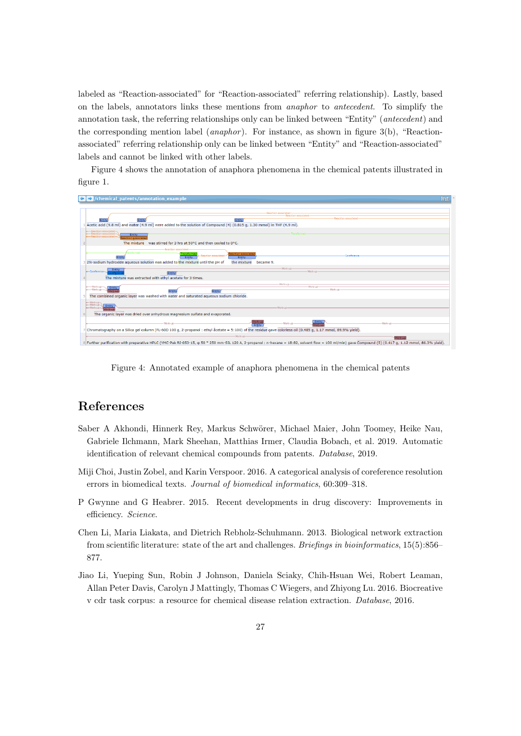labeled as "Reaction-associated" for "Reaction-associated" referring relationship). Lastly, based on the labels, annotators links these mentions from anaphor to antecedent. To simplify the annotation task, the referring relationships only can be linked between "Entity" (antecedent) and the corresponding mention label (*anaphor*). For instance, as shown in figure 3(b), "Reactionassociated" referring relationship only can be linked between "Entity" and "Reaction-associated" labels and cannot be linked with other labels.

Figure 4 shows the annotation of anaphora phenomena in the chemical patents illustrated in figure 1.

| /chemical_patents/annotation_example<br>↞                                                                                                                                                                                                 | brat |
|-------------------------------------------------------------------------------------------------------------------------------------------------------------------------------------------------------------------------------------------|------|
| Reaction-associated<br><b>Reaction-associated</b><br><b>Reaction-associated</b><br>Entity<br>Entity<br>Entity<br>Acetic acid (9.8 ml) and water (4.9 ml) were added to the solution of Compound (4) (0.815 q, 1.30 mmol) in THF (4.9 ml). |      |
| -Transformed<br>Entity<br>action-associated<br>The mixture was stirred for 3 hrs at 50°C and then cooled to 0°C.                                                                                                                          |      |
| Reaction-associated<br>ransformed<br>eaction-associated<br>Coreferenc<br>Entity<br>Entity<br>Entity<br>2N-sodium hydroxide aqueous solution was added to the mixture until the pH of<br>the mixture<br>became 9.                          |      |
| Work-up-<br>Entity<br>Work-un-<br>-Coreference-<br>Entity<br>referent<br>The mixture was extracted with ethyl acetate for 3 times.                                                                                                        |      |
| Worksun<br>-Worle-up<br>- Work-up<br>Entity<br><b>Work-un-</b><br>-Work-up<br>Entity<br>Entity<br>The combined organic layer was washed with water and saturated agueous sodium chloride.                                                 |      |
| + Work-up<br>le-Work-up-<br>Entity<br>-Workun<br>-Work-up<br><b>Nork-un</b><br>The organic layer was dried over anhydrous magnesium sulfate and evaporated.                                                                               |      |
| Entity<br>Work-up<br>-Work-up<br>Work-ur<br>Entity<br>Vork-up<br>Chromatography on a Silica gel column (FL-60D 100 g, 2-propanol : ethyl åcetate = 5:100) of the residue gave colorless oil (0.485 g, 1.17 mmol, 89.9% yield).            |      |
| -Work-up-<br>Work-up<br>8 Further purification with preparative HPLC (YMC-Pak RI-053-15, ¢ 50 * 250 mm-SIL 120 A, 2-propanol : n-hexane = 18:82, solvent flow = 100 ml/min) gave Compound (5) (0.417 q, 1.12 mmol, 86.3% yield).          |      |

Figure 4: Annotated example of anaphora phenomena in the chemical patents

# References

- <span id="page-26-0"></span>Saber A Akhondi, Hinnerk Rey, Markus Schwörer, Michael Maier, John Toomey, Heike Nau, Gabriele Ilchmann, Mark Sheehan, Matthias Irmer, Claudia Bobach, et al. 2019. Automatic identification of relevant chemical compounds from patents. Database, 2019.
- <span id="page-26-3"></span>Miji Choi, Justin Zobel, and Karin Verspoor. 2016. A categorical analysis of coreference resolution errors in biomedical texts. Journal of biomedical informatics, 60:309–318.
- <span id="page-26-1"></span>P Gwynne and G Heabrer. 2015. Recent developments in drug discovery: Improvements in efficiency. Science.
- <span id="page-26-4"></span>Chen Li, Maria Liakata, and Dietrich Rebholz-Schuhmann. 2013. Biological network extraction from scientific literature: state of the art and challenges. Briefings in bioinformatics, 15(5):856– 877.
- <span id="page-26-2"></span>Jiao Li, Yueping Sun, Robin J Johnson, Daniela Sciaky, Chih-Hsuan Wei, Robert Leaman, Allan Peter Davis, Carolyn J Mattingly, Thomas C Wiegers, and Zhiyong Lu. 2016. Biocreative v cdr task corpus: a resource for chemical disease relation extraction. Database, 2016.